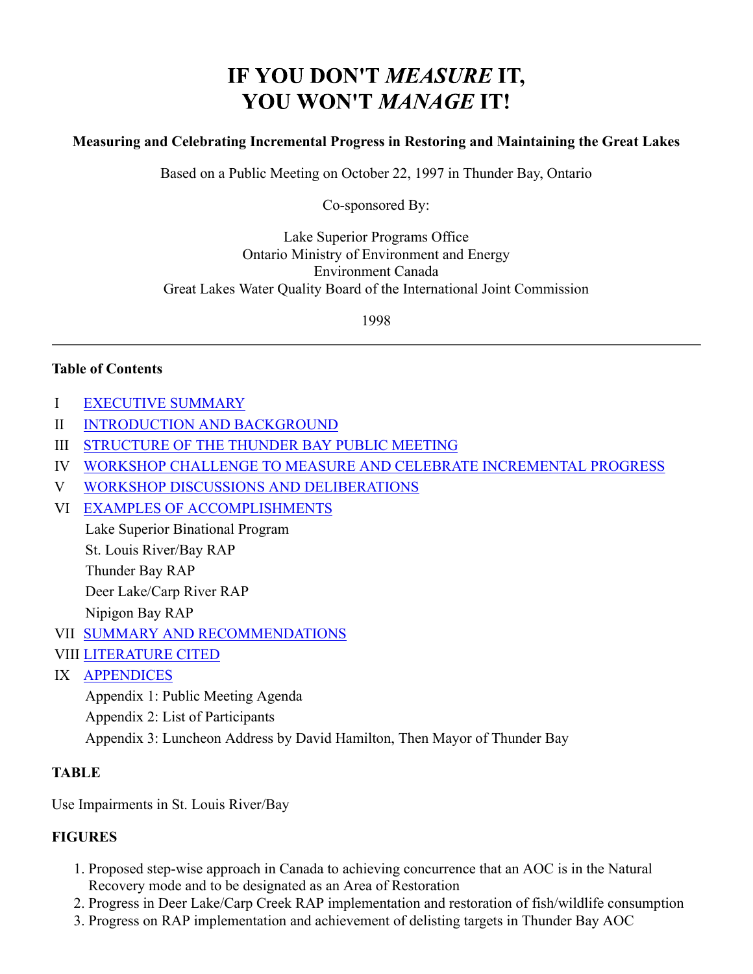# IF YOU DON'T MEASURE IT, **YOU WON'T MANAGE IT!**

#### **Measuring and Celebrating Incremental Progress in Restoring and Maintaining the Great Lakes**

Based on a Public Meeting on October 22, 1997 in Thunder Bay, Ontario

Co-sponsored By:

Lake Superior Programs Office Ontario Ministry of Environment and Energy Environment Canada Great Lakes Water Quality Board of the International Joint Commission

1998

#### **Table of Contents**

- I EXECUTIVE SUMMARY
- II INTRODUCTION AND BACKGROUND
- III STRUCTURE OF THE THUNDER BAY PUBLIC MEETING
- IV WORKSHOP CHALLENGE TO MEASURE AND CELEBRATE INCREMENTAL PROGRESS
- V WORKSHOP DISCUSSIONS AND DELIBERATIONS
- VI EXAMPLES OF ACCOMPLISHMENTS

Lake Superior Binational Program

St. Louis River/Bay RAP

Thunder Bay RAP

Deer Lake/Carp River RAP

Nipigon Bay RAP

- VII SUMMARY AND RECOMMENDATIONS
- VIII LITERATURE CITED
- IX APPENDICES

Appendix 1: Public Meeting Agenda Appendix 2: List of Participants Appendix 3: Luncheon Address by David Hamilton, Then Mayor of Thunder Bay

#### **TABLE**

Use Impairments in St. Louis River/Bay

#### **FIGURES**

- 1. Proposed step-wise approach in Canada to achieving concurrence that an AOC is in the Natural Recovery mode and to be designated as an Area of Restoration
- 2. Progress in Deer Lake/Carp Creek RAP implementation and restoration of fish/wildlife consumption
- 3. Progress on RAP implementation and achievement of delisting targets in Thunder Bay AOC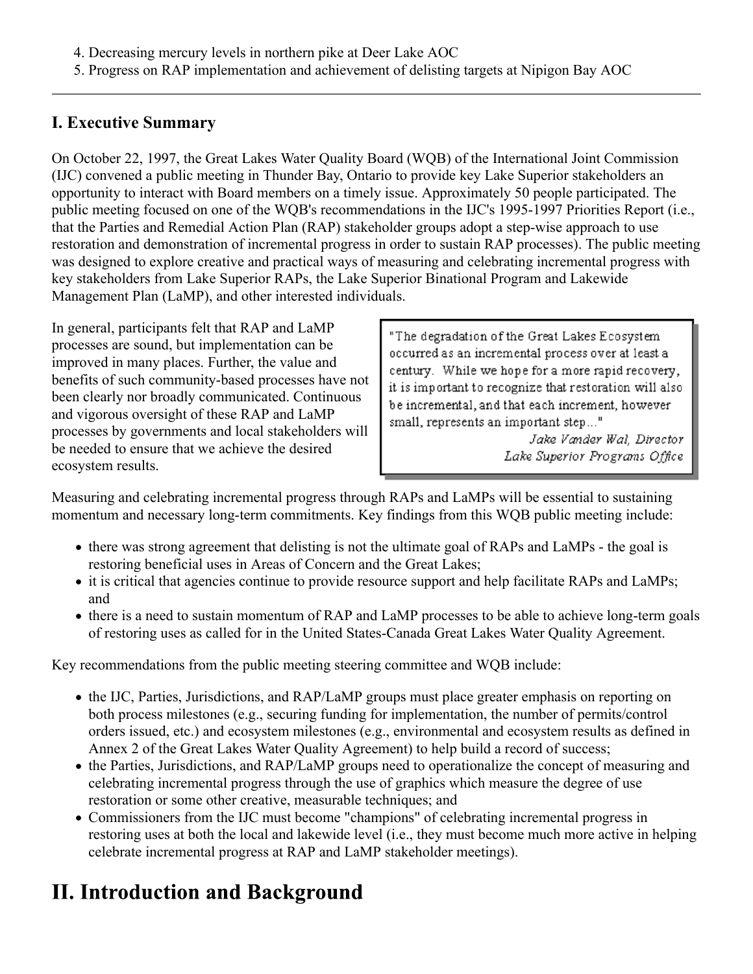5. Progress on RAP implementation and achievement of delisting targets at Nipigon Bay AOC

## **I. Executive Summary**

On October 22, 1997, the Great Lakes Water Quality Board (WQB) of the International Joint Commission (IJC) convened a public meeting in Thunder Bay, Ontario to provide key Lake Superior stakeholders an opportunity to interact with Board members on a timely issue. Approximately 50 people participated. The public meeting focused on one of the WQB's recommendations in the IJC's 1995-1997 Priorities Report (i.e., that the Parties and Remedial Action Plan (RAP) stakeholder groups adopt a step-wise approach to use restoration and demonstration of incremental progress in order to sustain RAP processes). The public meeting was designed to explore creative and practical ways of measuring and celebrating incremental progress with key stakeholders from Lake Superior RAPs, the Lake Superior Binational Program and Lakewide Management Plan (LaMP), and other interested individuals.

In general, participants felt that RAP and LaMP processes are sound, but implementation can be improved in many places. Further, the value and benefits of such community-based processes have not been clearly nor broadly communicated. Continuous and vigorous oversight of these RAP and LaMP processes by governments and local stakeholders will be needed to ensure that we achieve the desired ecosystem results.

"The degradation of the Great Lakes Ecosystem occurred as an incremental process over at least a century. While we hope for a more rapid recovery, it is important to recognize that restoration will also be incremental, and that each increment, however small, represents an important step..."

> Jake Vander Wal, Director Lake Superior Programs Office

Measuring and celebrating incremental progress through RAPs and LaMPs will be essential to sustaining momentum and necessary long-term commitments. Key findings from this WQB public meeting include:

- there was strong agreement that delisting is not the ultimate goal of RAPs and LaMPs the goal is restoring beneficial uses in Areas of Concern and the Great Lakes;
- it is critical that agencies continue to provide resource support and help facilitate RAPs and LaMPs; and
- there is a need to sustain momentum of RAP and LaMP processes to be able to achieve long-term goals of restoring uses as called for in the United States-Canada Great Lakes Water Quality Agreement.

Key recommendations from the public meeting steering committee and WQB include:

- the IJC, Parties, Jurisdictions, and RAP/LaMP groups must place greater emphasis on reporting on both process milestones (e.g., securing funding for implementation, the number of permits/control orders issued, etc.) and ecosystem milestones (e.g., environmental and ecosystem results as defined in Annex 2 of the Great Lakes Water Quality Agreement) to help build a record of success;
- the Parties, Jurisdictions, and RAP/LaMP groups need to operationalize the concept of measuring and celebrating incremental progress through the use of graphics which measure the degree of use restoration or some other creative, measurable techniques; and
- Commissioners from the IJC must become "champions" of celebrating incremental progress in restoring uses at both the local and lakewide level (i.e., they must become much more active in helping celebrate incremental progress at RAP and LaMP stakeholder meetings).

# **II. Introduction and Background**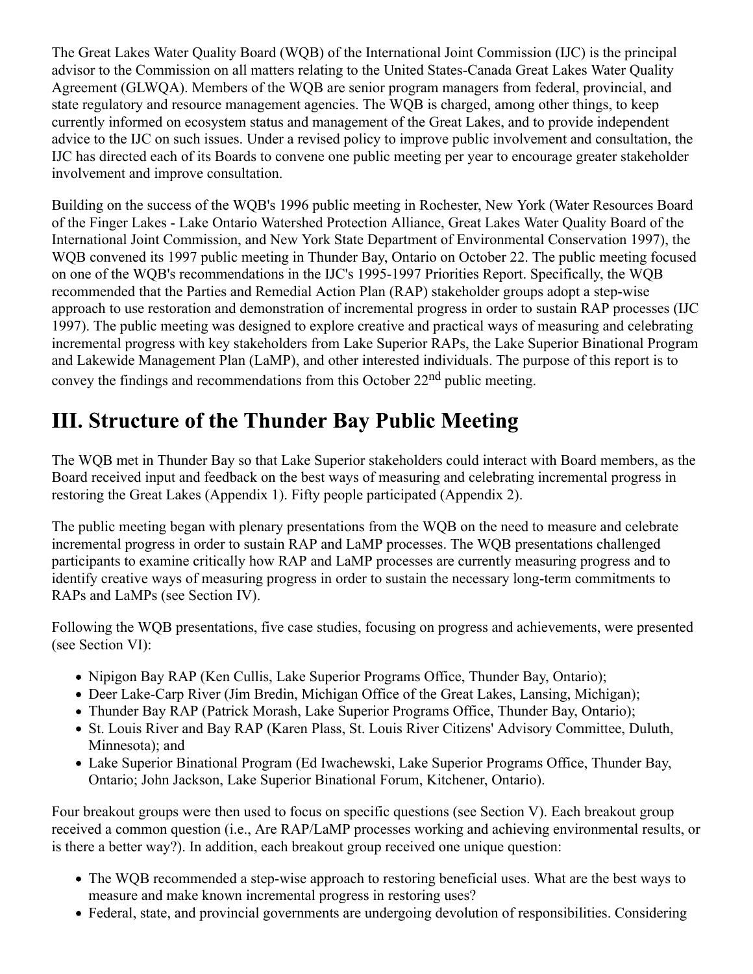The Great Lakes Water Quality Board (WQB) of the International Joint Commission (IJC) is the principal advisor to the Commission on all matters relating to the United States-Canada Great Lakes Water Quality Agreement (GLWQA). Members of the WQB are senior program managers from federal, provincial, and state regulatory and resource management agencies. The WQB is charged, among other things, to keep currently informed on ecosystem status and management of the Great Lakes, and to provide independent advice to the IJC on such issues. Under a revised policy to improve public involvement and consultation, the IJC has directed each of its Boards to convene one public meeting per year to encourage greater stakeholder involvement and improve consultation.

Building on the success of the WQB's 1996 public meeting in Rochester, New York (Water Resources Board of the Finger Lakes - Lake Ontario Watershed Protection Alliance, Great Lakes Water Quality Board of the International Joint Commission, and New York State Department of Environmental Conservation 1997), the WQB convened its 1997 public meeting in Thunder Bay, Ontario on October 22. The public meeting focused on one of the WQB's recommendations in the IJC's 1995-1997 Priorities Report. Specifically, the WQB recommended that the Parties and Remedial Action Plan (RAP) stakeholder groups adopt a step-wise approach to use restoration and demonstration of incremental progress in order to sustain RAP processes (IJC 1997). The public meeting was designed to explore creative and practical ways of measuring and celebrating incremental progress with key stakeholders from Lake Superior RAPs, the Lake Superior Binational Program and Lakewide Management Plan (LaMP), and other interested individuals. The purpose of this report is to convey the findings and recommendations from this October 22nd public meeting.

# **III. Structure of the Thunder Bay Public Meeting**

The WQB met in Thunder Bay so that Lake Superior stakeholders could interact with Board members, as the Board received input and feedback on the best ways of measuring and celebrating incremental progress in restoring the Great Lakes (Appendix 1). Fifty people participated (Appendix 2).

The public meeting began with plenary presentations from the WQB on the need to measure and celebrate incremental progress in order to sustain RAP and LaMP processes. The WQB presentations challenged participants to examine critically how RAP and LaMP processes are currently measuring progress and to identify creative ways of measuring progress in order to sustain the necessary long-term commitments to RAPs and LaMPs (see Section IV).

Following the WQB presentations, five case studies, focusing on progress and achievements, were presented (see Section VI):

- Nipigon Bay RAP (Ken Cullis, Lake Superior Programs Office, Thunder Bay, Ontario);
- Deer Lake-Carp River (Jim Bredin, Michigan Office of the Great Lakes, Lansing, Michigan);
- Thunder Bay RAP (Patrick Morash, Lake Superior Programs Office, Thunder Bay, Ontario);
- St. Louis River and Bay RAP (Karen Plass, St. Louis River Citizens' Advisory Committee, Duluth, Minnesota); and
- Lake Superior Binational Program (Ed Iwachewski, Lake Superior Programs Office, Thunder Bay, Ontario; John Jackson, Lake Superior Binational Forum, Kitchener, Ontario).

Four breakout groups were then used to focus on specific questions (see Section V). Each breakout group received a common question (i.e., Are RAP/LaMP processes working and achieving environmental results, or is there a better way?). In addition, each breakout group received one unique question:

- The WQB recommended a step-wise approach to restoring beneficial uses. What are the best ways to measure and make known incremental progress in restoring uses?
- Federal, state, and provincial governments are undergoing devolution of responsibilities. Considering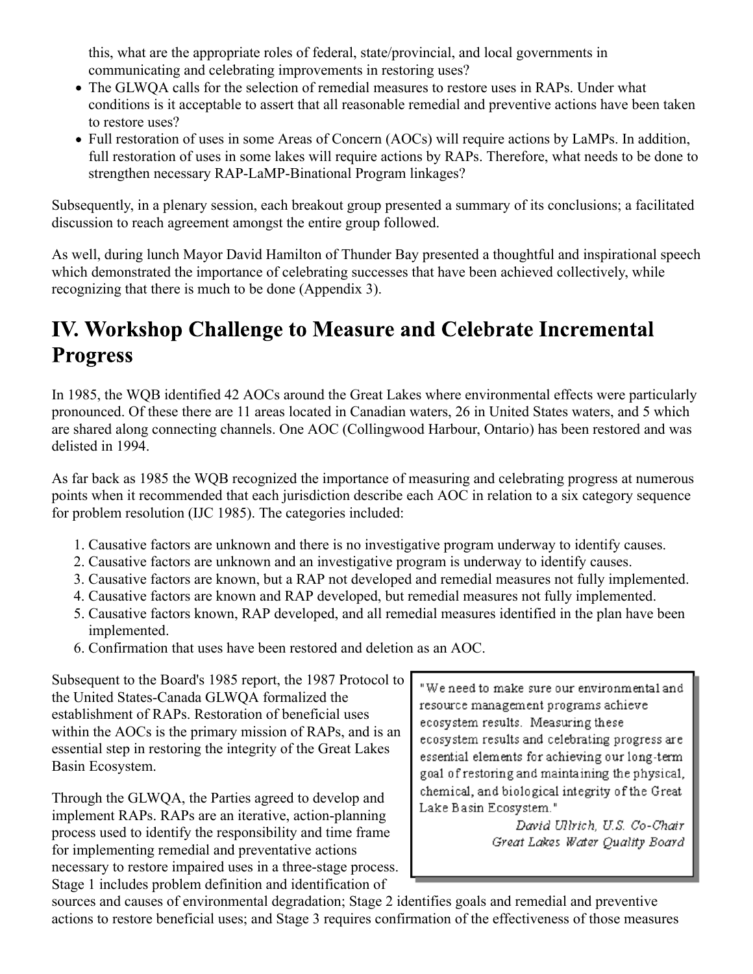this, what are the appropriate roles of federal, state/provincial, and local governments in communicating and celebrating improvements in restoring uses?

- The GLWQA calls for the selection of remedial measures to restore uses in RAPs. Under what conditions is it acceptable to assert that all reasonable remedial and preventive actions have been taken to restore uses?
- Full restoration of uses in some Areas of Concern (AOCs) will require actions by LaMPs. In addition, full restoration of uses in some lakes will require actions by RAPs. Therefore, what needs to be done to strengthen necessary RAP-LaMP-Binational Program linkages?

Subsequently, in a plenary session, each breakout group presented a summary of its conclusions; a facilitated discussion to reach agreement amongst the entire group followed.

As well, during lunch Mayor David Hamilton of Thunder Bay presented a thoughtful and inspirational speech which demonstrated the importance of celebrating successes that have been achieved collectively, while recognizing that there is much to be done (Appendix 3).

# **IV. Workshop Challenge to Measure and Celebrate Incremental Progress**

In 1985, the WQB identified 42 AOCs around the Great Lakes where environmental effects were particularly pronounced. Of these there are 11 areas located in Canadian waters, 26 in United States waters, and 5 which are shared along connecting channels. One AOC (Collingwood Harbour, Ontario) has been restored and was delisted in 1994.

As far back as 1985 the WQB recognized the importance of measuring and celebrating progress at numerous points when it recommended that each jurisdiction describe each AOC in relation to a six category sequence for problem resolution (IJC 1985). The categories included:

- 1. Causative factors are unknown and there is no investigative program underway to identify causes.
- 2. Causative factors are unknown and an investigative program is underway to identify causes.
- 3. Causative factors are known, but a RAP not developed and remedial measures not fully implemented.
- 4. Causative factors are known and RAP developed, but remedial measures not fully implemented.
- 5. Causative factors known, RAP developed, and all remedial measures identified in the plan have been implemented.
- 6. Confirmation that uses have been restored and deletion as an AOC.

Subsequent to the Board's 1985 report, the 1987 Protocol to the United States-Canada GLWQA formalized the establishment of RAPs. Restoration of beneficial uses within the AOCs is the primary mission of RAPs, and is an essential step in restoring the integrity of the Great Lakes Basin Ecosystem.

Through the GLWQA, the Parties agreed to develop and implement RAPs. RAPs are an iterative, action-planning process used to identify the responsibility and time frame for implementing remedial and preventative actions necessary to restore impaired uses in a three-stage process. Stage 1 includes problem definition and identification of

"We need to make sure our environmental and resource management programs achieve ecosystem results. Measuring these ecosystem results and celebrating progress are essential elements for achieving our long-term goal of restoring and maintaining the physical, chemical, and biological integrity of the Great Lake Basin Ecosystem."

David Ullrich, U.S. Co-Chair Great Lakes Water Quality Board

sources and causes of environmental degradation; Stage 2 identifies goals and remedial and preventive actions to restore beneficial uses; and Stage 3 requires confirmation of the effectiveness of those measures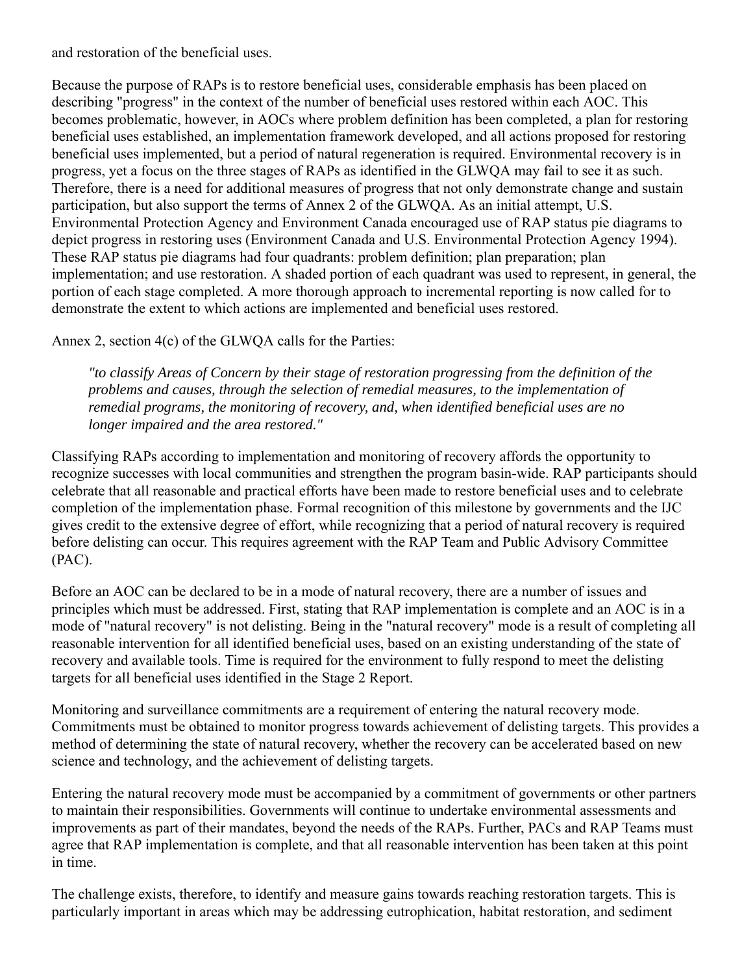and restoration of the beneficial uses.

Because the purpose of RAPs is to restore beneficial uses, considerable emphasis has been placed on describing "progress" in the context of the number of beneficial uses restored within each AOC. This becomes problematic, however, in AOCs where problem definition has been completed, a plan for restoring beneficial uses established, an implementation framework developed, and all actions proposed for restoring beneficial uses implemented, but a period of natural regeneration is required. Environmental recovery is in progress, yet a focus on the three stages of RAPs as identified in the GLWQA may fail to see it as such. Therefore, there is a need for additional measures of progress that not only demonstrate change and sustain participation, but also support the terms of Annex 2 of the GLWQA. As an initial attempt, U.S. Environmental Protection Agency and Environment Canada encouraged use of RAP status pie diagrams to depict progress in restoring uses (Environment Canada and U.S. Environmental Protection Agency 1994). These RAP status pie diagrams had four quadrants: problem definition; plan preparation; plan implementation; and use restoration. A shaded portion of each quadrant was used to represent, in general, the portion of each stage completed. A more thorough approach to incremental reporting is now called for to demonstrate the extent to which actions are implemented and beneficial uses restored.

Annex 2, section 4(c) of the GLWQA calls for the Parties:

*"to classify Areas of Concern by their stage of restoration progressing from the definition of the problems and causes, through the selection of remedial measures, to the implementation of remedial programs, the monitoring of recovery, and, when identified beneficial uses are no longer impaired and the area restored."*

Classifying RAPs according to implementation and monitoring of recovery affords the opportunity to recognize successes with local communities and strengthen the program basin-wide. RAP participants should celebrate that all reasonable and practical efforts have been made to restore beneficial uses and to celebrate completion of the implementation phase. Formal recognition of this milestone by governments and the IJC gives credit to the extensive degree of effort, while recognizing that a period of natural recovery is required before delisting can occur. This requires agreement with the RAP Team and Public Advisory Committee (PAC).

Before an AOC can be declared to be in a mode of natural recovery, there are a number of issues and principles which must be addressed. First, stating that RAP implementation is complete and an AOC is in a mode of "natural recovery" is not delisting. Being in the "natural recovery" mode is a result of completing all reasonable intervention for all identified beneficial uses, based on an existing understanding of the state of recovery and available tools. Time is required for the environment to fully respond to meet the delisting targets for all beneficial uses identified in the Stage 2 Report.

Monitoring and surveillance commitments are a requirement of entering the natural recovery mode. Commitments must be obtained to monitor progress towards achievement of delisting targets. This provides a method of determining the state of natural recovery, whether the recovery can be accelerated based on new science and technology, and the achievement of delisting targets.

Entering the natural recovery mode must be accompanied by a commitment of governments or other partners to maintain their responsibilities. Governments will continue to undertake environmental assessments and improvements as part of their mandates, beyond the needs of the RAPs. Further, PACs and RAP Teams must agree that RAP implementation is complete, and that all reasonable intervention has been taken at this point in time.

The challenge exists, therefore, to identify and measure gains towards reaching restoration targets. This is particularly important in areas which may be addressing eutrophication, habitat restoration, and sediment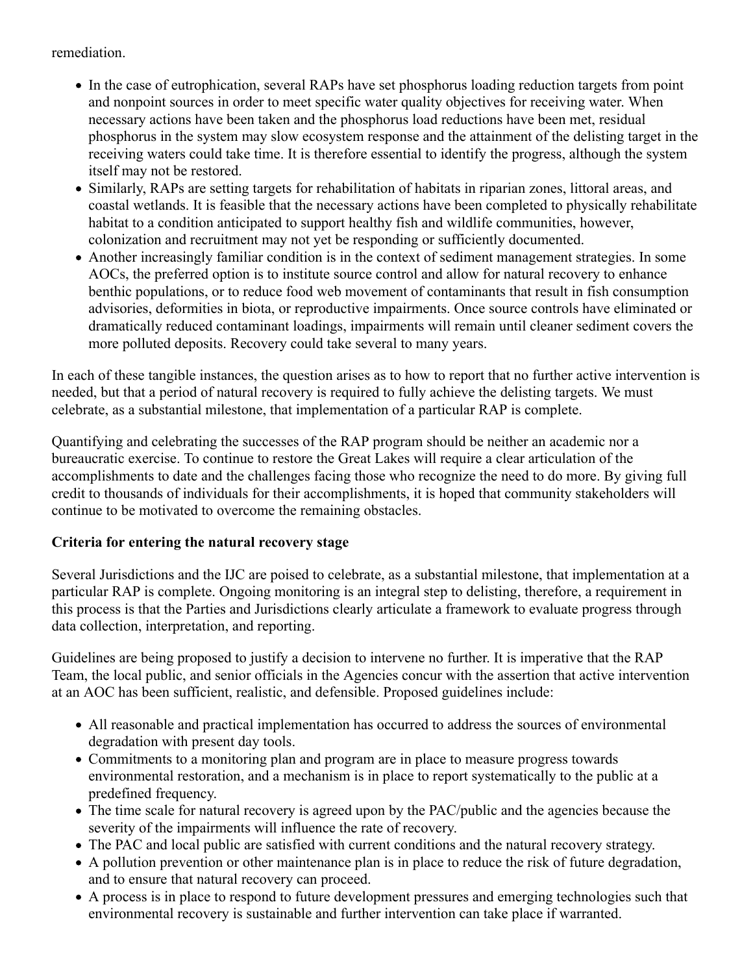remediation.

- In the case of eutrophication, several RAPs have set phosphorus loading reduction targets from point and nonpoint sources in order to meet specific water quality objectives for receiving water. When necessary actions have been taken and the phosphorus load reductions have been met, residual phosphorus in the system may slow ecosystem response and the attainment of the delisting target in the receiving waters could take time. It is therefore essential to identify the progress, although the system itself may not be restored.
- Similarly, RAPs are setting targets for rehabilitation of habitats in riparian zones, littoral areas, and coastal wetlands. It is feasible that the necessary actions have been completed to physically rehabilitate habitat to a condition anticipated to support healthy fish and wildlife communities, however, colonization and recruitment may not yet be responding or sufficiently documented.
- Another increasingly familiar condition is in the context of sediment management strategies. In some AOCs, the preferred option is to institute source control and allow for natural recovery to enhance benthic populations, or to reduce food web movement of contaminants that result in fish consumption advisories, deformities in biota, or reproductive impairments. Once source controls have eliminated or dramatically reduced contaminant loadings, impairments will remain until cleaner sediment covers the more polluted deposits. Recovery could take several to many years.

In each of these tangible instances, the question arises as to how to report that no further active intervention is needed, but that a period of natural recovery is required to fully achieve the delisting targets. We must celebrate, as a substantial milestone, that implementation of a particular RAP is complete.

Quantifying and celebrating the successes of the RAP program should be neither an academic nor a bureaucratic exercise. To continue to restore the Great Lakes will require a clear articulation of the accomplishments to date and the challenges facing those who recognize the need to do more. By giving full credit to thousands of individuals for their accomplishments, it is hoped that community stakeholders will continue to be motivated to overcome the remaining obstacles.

## **Criteria for entering the natural recovery stage**

Several Jurisdictions and the IJC are poised to celebrate, as a substantial milestone, that implementation at a particular RAP is complete. Ongoing monitoring is an integral step to delisting, therefore, a requirement in this process is that the Parties and Jurisdictions clearly articulate a framework to evaluate progress through data collection, interpretation, and reporting.

Guidelines are being proposed to justify a decision to intervene no further. It is imperative that the RAP Team, the local public, and senior officials in the Agencies concur with the assertion that active intervention at an AOC has been sufficient, realistic, and defensible. Proposed guidelines include:

- All reasonable and practical implementation has occurred to address the sources of environmental degradation with present day tools.
- Commitments to a monitoring plan and program are in place to measure progress towards environmental restoration, and a mechanism is in place to report systematically to the public at a predefined frequency.
- The time scale for natural recovery is agreed upon by the PAC/public and the agencies because the severity of the impairments will influence the rate of recovery.
- The PAC and local public are satisfied with current conditions and the natural recovery strategy.
- A pollution prevention or other maintenance plan is in place to reduce the risk of future degradation, and to ensure that natural recovery can proceed.
- A process is in place to respond to future development pressures and emerging technologies such that environmental recovery is sustainable and further intervention can take place if warranted.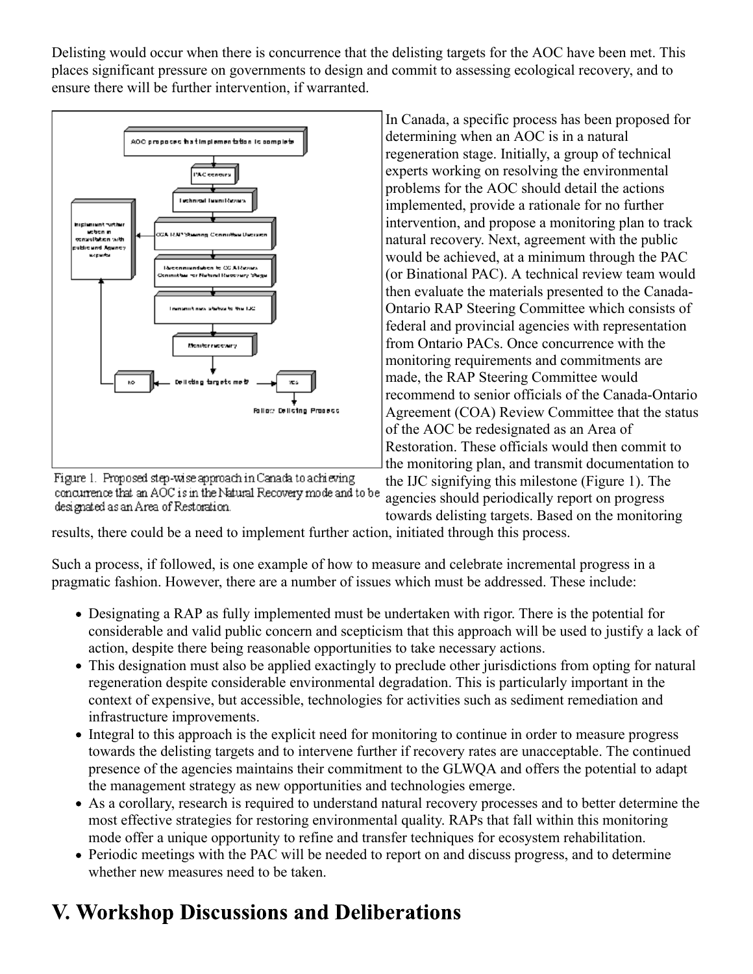Delisting would occur when there is concurrence that the delisting targets for the AOC have been met. This places significant pressure on governments to design and commit to assessing ecological recovery, and to ensure there will be further intervention, if warranted.



Figure 1. Proposed step-wise approach in Canada to achieving concurrence that an AOC is in the Natural Recovery mode and to be designated as an Area of Restoration.

In Canada, a specific process has been proposed for determining when an AOC is in a natural regeneration stage. Initially, a group of technical experts working on resolving the environmental problems for the AOC should detail the actions implemented, provide a rationale for no further intervention, and propose a monitoring plan to track natural recovery. Next, agreement with the public would be achieved, at a minimum through the PAC (or Binational PAC). A technical review team would then evaluate the materials presented to the Canada-Ontario RAP Steering Committee which consists of federal and provincial agencies with representation from Ontario PACs. Once concurrence with the monitoring requirements and commitments are made, the RAP Steering Committee would recommend to senior officials of the Canada-Ontario Agreement (COA) Review Committee that the status of the AOC be redesignated as an Area of Restoration. These officials would then commit to the monitoring plan, and transmit documentation to

the IJC signifying this milestone (Figure 1). The agencies should periodically report on progress towards delisting targets. Based on the monitoring

results, there could be a need to implement further action, initiated through this process.

Such a process, if followed, is one example of how to measure and celebrate incremental progress in a pragmatic fashion. However, there are a number of issues which must be addressed. These include:

- Designating a RAP as fully implemented must be undertaken with rigor. There is the potential for considerable and valid public concern and scepticism that this approach will be used to justify a lack of action, despite there being reasonable opportunities to take necessary actions.
- This designation must also be applied exactingly to preclude other jurisdictions from opting for natural regeneration despite considerable environmental degradation. This is particularly important in the context of expensive, but accessible, technologies for activities such as sediment remediation and infrastructure improvements.
- Integral to this approach is the explicit need for monitoring to continue in order to measure progress towards the delisting targets and to intervene further if recovery rates are unacceptable. The continued presence of the agencies maintains their commitment to the GLWQA and offers the potential to adapt the management strategy as new opportunities and technologies emerge.
- As a corollary, research is required to understand natural recovery processes and to better determine the most effective strategies for restoring environmental quality. RAPs that fall within this monitoring mode offer a unique opportunity to refine and transfer techniques for ecosystem rehabilitation.
- Periodic meetings with the PAC will be needed to report on and discuss progress, and to determine whether new measures need to be taken.

# **V. Workshop Discussions and Deliberations**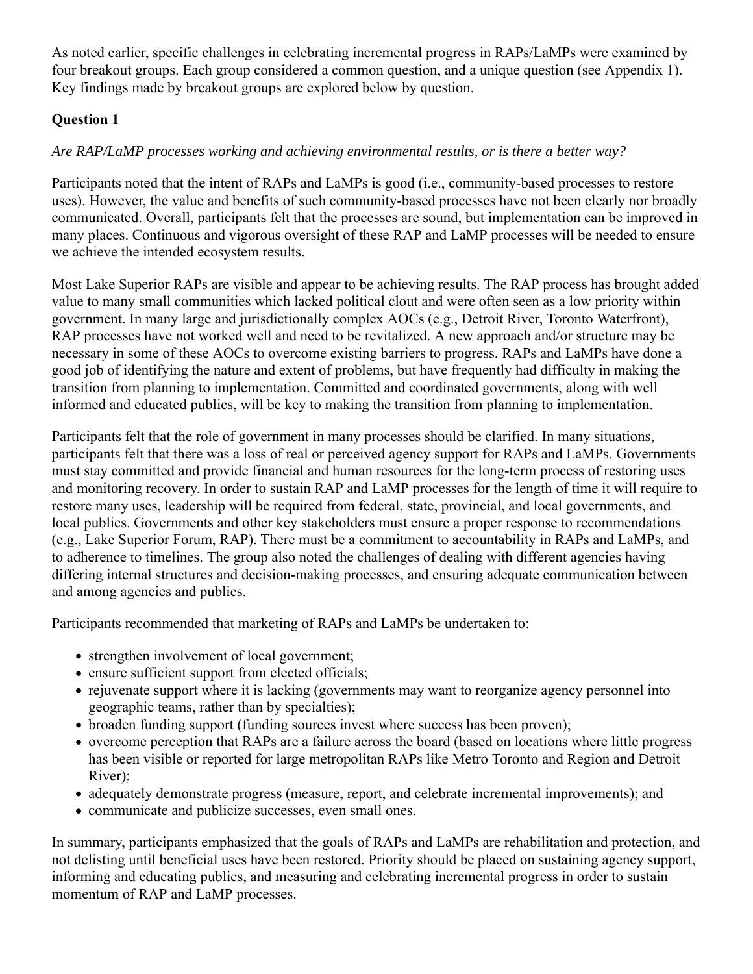As noted earlier, specific challenges in celebrating incremental progress in RAPs/LaMPs were examined by four breakout groups. Each group considered a common question, and a unique question (see Appendix 1). Key findings made by breakout groups are explored below by question.

## **Question 1**

## *Are RAP/LaMP processes working and achieving environmental results, or is there a better way?*

Participants noted that the intent of RAPs and LaMPs is good (i.e., community-based processes to restore uses). However, the value and benefits of such community-based processes have not been clearly nor broadly communicated. Overall, participants felt that the processes are sound, but implementation can be improved in many places. Continuous and vigorous oversight of these RAP and LaMP processes will be needed to ensure we achieve the intended ecosystem results.

Most Lake Superior RAPs are visible and appear to be achieving results. The RAP process has brought added value to many small communities which lacked political clout and were often seen as a low priority within government. In many large and jurisdictionally complex AOCs (e.g., Detroit River, Toronto Waterfront), RAP processes have not worked well and need to be revitalized. A new approach and/or structure may be necessary in some of these AOCs to overcome existing barriers to progress. RAPs and LaMPs have done a good job of identifying the nature and extent of problems, but have frequently had difficulty in making the transition from planning to implementation. Committed and coordinated governments, along with well informed and educated publics, will be key to making the transition from planning to implementation.

Participants felt that the role of government in many processes should be clarified. In many situations, participants felt that there was a loss of real or perceived agency support for RAPs and LaMPs. Governments must stay committed and provide financial and human resources for the long-term process of restoring uses and monitoring recovery. In order to sustain RAP and LaMP processes for the length of time it will require to restore many uses, leadership will be required from federal, state, provincial, and local governments, and local publics. Governments and other key stakeholders must ensure a proper response to recommendations (e.g., Lake Superior Forum, RAP). There must be a commitment to accountability in RAPs and LaMPs, and to adherence to timelines. The group also noted the challenges of dealing with different agencies having differing internal structures and decision-making processes, and ensuring adequate communication between and among agencies and publics.

Participants recommended that marketing of RAPs and LaMPs be undertaken to:

- strengthen involvement of local government;
- ensure sufficient support from elected officials;
- rejuvenate support where it is lacking (governments may want to reorganize agency personnel into geographic teams, rather than by specialties);
- broaden funding support (funding sources invest where success has been proven);
- overcome perception that RAPs are a failure across the board (based on locations where little progress has been visible or reported for large metropolitan RAPs like Metro Toronto and Region and Detroit River);
- adequately demonstrate progress (measure, report, and celebrate incremental improvements); and
- communicate and publicize successes, even small ones.

In summary, participants emphasized that the goals of RAPs and LaMPs are rehabilitation and protection, and not delisting until beneficial uses have been restored. Priority should be placed on sustaining agency support, informing and educating publics, and measuring and celebrating incremental progress in order to sustain momentum of RAP and LaMP processes.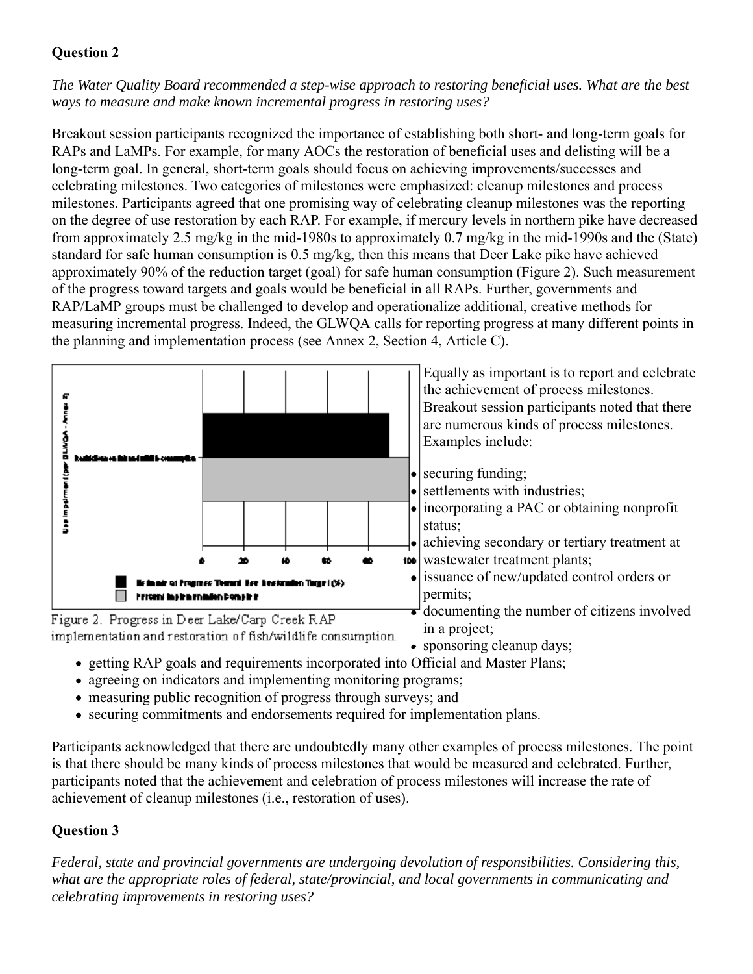## **Question 2**

*The Water Quality Board recommended a step-wise approach to restoring beneficial uses. What are the best ways to measure and make known incremental progress in restoring uses?*

Breakout session participants recognized the importance of establishing both short- and long-term goals for RAPs and LaMPs. For example, for many AOCs the restoration of beneficial uses and delisting will be a long-term goal. In general, short-term goals should focus on achieving improvements/successes and celebrating milestones. Two categories of milestones were emphasized: cleanup milestones and process milestones. Participants agreed that one promising way of celebrating cleanup milestones was the reporting on the degree of use restoration by each RAP. For example, if mercury levels in northern pike have decreased from approximately 2.5 mg/kg in the mid-1980s to approximately 0.7 mg/kg in the mid-1990s and the (State) standard for safe human consumption is 0.5 mg/kg, then this means that Deer Lake pike have achieved approximately 90% of the reduction target (goal) for safe human consumption (Figure 2). Such measurement of the progress toward targets and goals would be beneficial in all RAPs. Further, governments and RAP/LaMP groups must be challenged to develop and operationalize additional, creative methods for measuring incremental progress. Indeed, the GLWQA calls for reporting progress at many different points in the planning and implementation process (see Annex 2, Section 4, Article C).



- sponsoring cleanup days;
- getting RAP goals and requirements incorporated into Official and Master Plans;
- agreeing on indicators and implementing monitoring programs;
- measuring public recognition of progress through surveys; and
- securing commitments and endorsements required for implementation plans.

Participants acknowledged that there are undoubtedly many other examples of process milestones. The point is that there should be many kinds of process milestones that would be measured and celebrated. Further, participants noted that the achievement and celebration of process milestones will increase the rate of achievement of cleanup milestones (i.e., restoration of uses).

## **Question 3**

*Federal, state and provincial governments are undergoing devolution of responsibilities. Considering this, what are the appropriate roles of federal, state/provincial, and local governments in communicating and celebrating improvements in restoring uses?*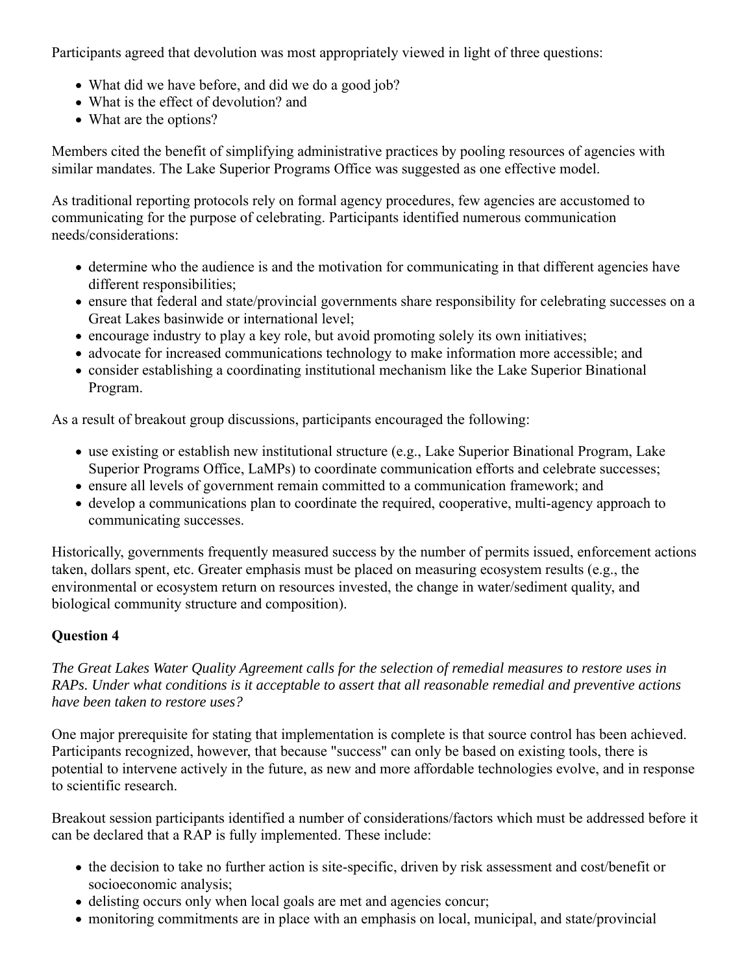Participants agreed that devolution was most appropriately viewed in light of three questions:

- What did we have before, and did we do a good job?
- What is the effect of devolution? and
- What are the options?

Members cited the benefit of simplifying administrative practices by pooling resources of agencies with similar mandates. The Lake Superior Programs Office was suggested as one effective model.

As traditional reporting protocols rely on formal agency procedures, few agencies are accustomed to communicating for the purpose of celebrating. Participants identified numerous communication needs/considerations:

- determine who the audience is and the motivation for communicating in that different agencies have different responsibilities;
- ensure that federal and state/provincial governments share responsibility for celebrating successes on a Great Lakes basinwide or international level;
- encourage industry to play a key role, but avoid promoting solely its own initiatives;
- advocate for increased communications technology to make information more accessible; and
- consider establishing a coordinating institutional mechanism like the Lake Superior Binational Program.

As a result of breakout group discussions, participants encouraged the following:

- use existing or establish new institutional structure (e.g., Lake Superior Binational Program, Lake Superior Programs Office, LaMPs) to coordinate communication efforts and celebrate successes;
- ensure all levels of government remain committed to a communication framework; and
- develop a communications plan to coordinate the required, cooperative, multi-agency approach to communicating successes.

Historically, governments frequently measured success by the number of permits issued, enforcement actions taken, dollars spent, etc. Greater emphasis must be placed on measuring ecosystem results (e.g., the environmental or ecosystem return on resources invested, the change in water/sediment quality, and biological community structure and composition).

## **Question 4**

*The Great Lakes Water Quality Agreement calls for the selection of remedial measures to restore uses in RAPs. Under what conditions is it acceptable to assert that all reasonable remedial and preventive actions have been taken to restore uses?*

One major prerequisite for stating that implementation is complete is that source control has been achieved. Participants recognized, however, that because "success" can only be based on existing tools, there is potential to intervene actively in the future, as new and more affordable technologies evolve, and in response to scientific research.

Breakout session participants identified a number of considerations/factors which must be addressed before it can be declared that a RAP is fully implemented. These include:

- the decision to take no further action is site-specific, driven by risk assessment and cost/benefit or socioeconomic analysis;
- delisting occurs only when local goals are met and agencies concur;
- monitoring commitments are in place with an emphasis on local, municipal, and state/provincial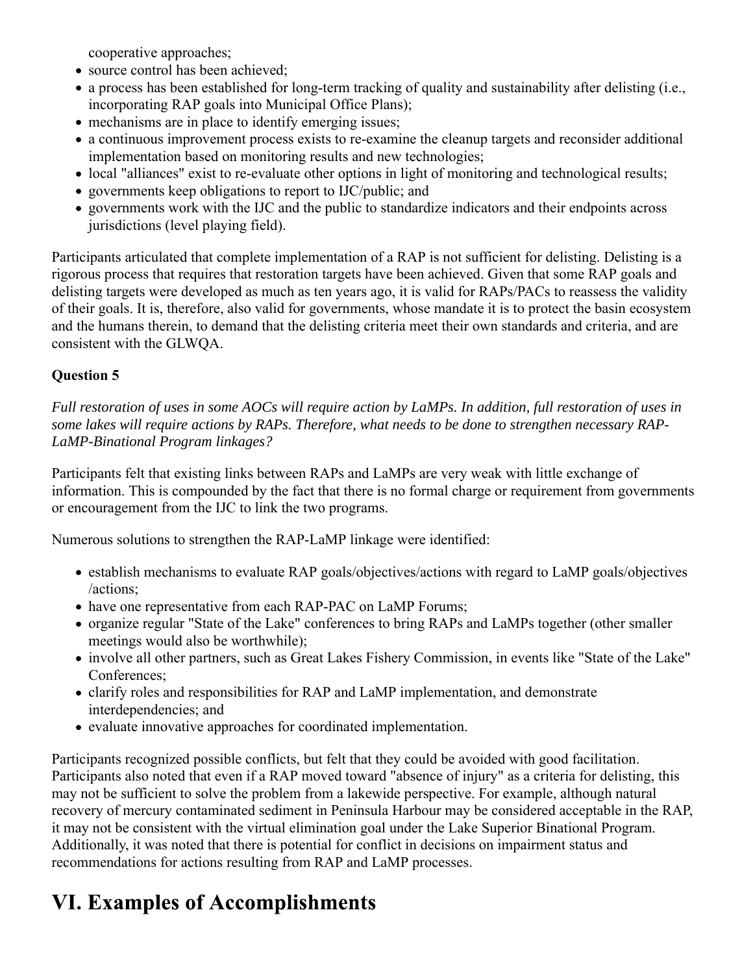cooperative approaches;

- source control has been achieved;
- a process has been established for long-term tracking of quality and sustainability after delisting (i.e., incorporating RAP goals into Municipal Office Plans);
- mechanisms are in place to identify emerging issues;
- a continuous improvement process exists to re-examine the cleanup targets and reconsider additional implementation based on monitoring results and new technologies;
- local "alliances" exist to re-evaluate other options in light of monitoring and technological results;
- governments keep obligations to report to IJC/public; and
- governments work with the IJC and the public to standardize indicators and their endpoints across jurisdictions (level playing field).

Participants articulated that complete implementation of a RAP is not sufficient for delisting. Delisting is a rigorous process that requires that restoration targets have been achieved. Given that some RAP goals and delisting targets were developed as much as ten years ago, it is valid for RAPs/PACs to reassess the validity of their goals. It is, therefore, also valid for governments, whose mandate it is to protect the basin ecosystem and the humans therein, to demand that the delisting criteria meet their own standards and criteria, and are consistent with the GLWQA.

## **Question 5**

*Full restoration of uses in some AOCs will require action by LaMPs. In addition, full restoration of uses in some lakes will require actions by RAPs. Therefore, what needs to be done to strengthen necessary RAP-LaMP-Binational Program linkages?*

Participants felt that existing links between RAPs and LaMPs are very weak with little exchange of information. This is compounded by the fact that there is no formal charge or requirement from governments or encouragement from the IJC to link the two programs.

Numerous solutions to strengthen the RAP-LaMP linkage were identified:

- establish mechanisms to evaluate RAP goals/objectives/actions with regard to LaMP goals/objectives /actions;
- have one representative from each RAP-PAC on LaMP Forums;
- organize regular "State of the Lake" conferences to bring RAPs and LaMPs together (other smaller meetings would also be worthwhile);
- involve all other partners, such as Great Lakes Fishery Commission, in events like "State of the Lake" Conferences;
- clarify roles and responsibilities for RAP and LaMP implementation, and demonstrate interdependencies; and
- evaluate innovative approaches for coordinated implementation.

Participants recognized possible conflicts, but felt that they could be avoided with good facilitation. Participants also noted that even if a RAP moved toward "absence of injury" as a criteria for delisting, this may not be sufficient to solve the problem from a lakewide perspective. For example, although natural recovery of mercury contaminated sediment in Peninsula Harbour may be considered acceptable in the RAP, it may not be consistent with the virtual elimination goal under the Lake Superior Binational Program. Additionally, it was noted that there is potential for conflict in decisions on impairment status and recommendations for actions resulting from RAP and LaMP processes.

# **VI. Examples of Accomplishments**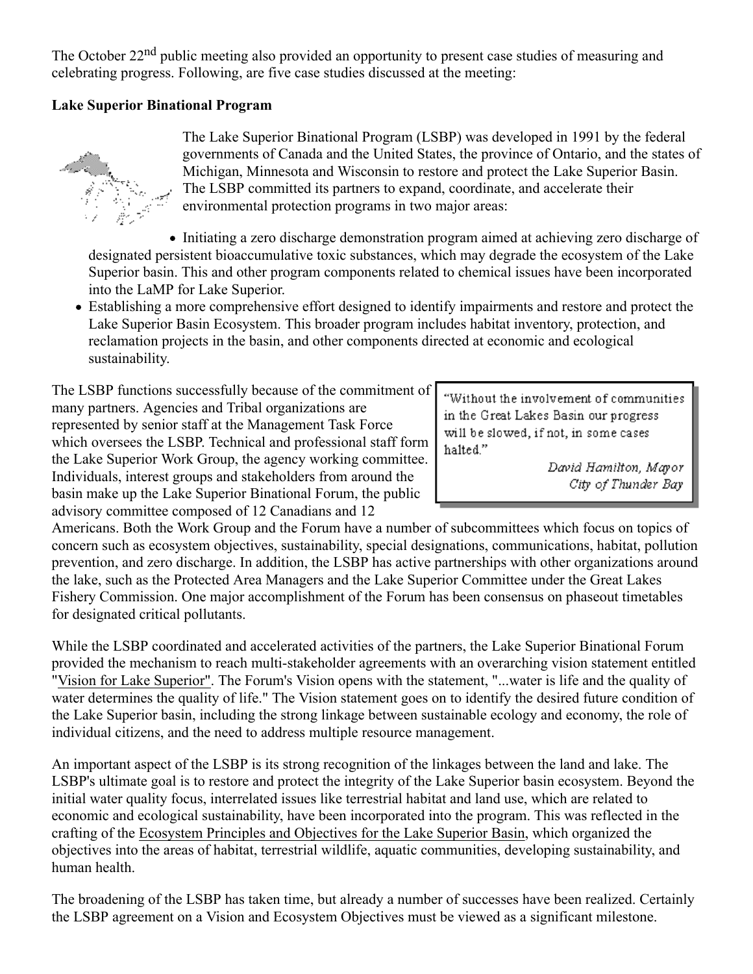The October 22<sup>nd</sup> public meeting also provided an opportunity to present case studies of measuring and celebrating progress. Following, are five case studies discussed at the meeting:

## **Lake Superior Binational Program**



The Lake Superior Binational Program (LSBP) was developed in 1991 by the federal governments of Canada and the United States, the province of Ontario, and the states of Michigan, Minnesota and Wisconsin to restore and protect the Lake Superior Basin. The LSBP committed its partners to expand, coordinate, and accelerate their environmental protection programs in two major areas:

• Initiating a zero discharge demonstration program aimed at achieving zero discharge of designated persistent bioaccumulative toxic substances, which may degrade the ecosystem of the Lake Superior basin. This and other program components related to chemical issues have been incorporated into the LaMP for Lake Superior.

Establishing a more comprehensive effort designed to identify impairments and restore and protect the Lake Superior Basin Ecosystem. This broader program includes habitat inventory, protection, and reclamation projects in the basin, and other components directed at economic and ecological sustainability.

The LSBP functions successfully because of the commitment of many partners. Agencies and Tribal organizations are represented by senior staff at the Management Task Force which oversees the LSBP. Technical and professional staff form the Lake Superior Work Group, the agency working committee. Individuals, interest groups and stakeholders from around the basin make up the Lake Superior Binational Forum, the public advisory committee composed of 12 Canadians and 12

"Without the involvement of communities in the Great Lakes Basin our progress will be slowed, if not, in some cases halted."

> David Hamilton, Mayor City of Thunder Bay

Americans. Both the Work Group and the Forum have a number of subcommittees which focus on topics of concern such as ecosystem objectives, sustainability, special designations, communications, habitat, pollution prevention, and zero discharge. In addition, the LSBP has active partnerships with other organizations around the lake, such as the Protected Area Managers and the Lake Superior Committee under the Great Lakes Fishery Commission. One major accomplishment of the Forum has been consensus on phaseout timetables for designated critical pollutants.

While the LSBP coordinated and accelerated activities of the partners, the Lake Superior Binational Forum provided the mechanism to reach multi-stakeholder agreements with an overarching vision statement entitled "Vision for Lake Superior". The Forum's Vision opens with the statement, "...water is life and the quality of water determines the quality of life." The Vision statement goes on to identify the desired future condition of the Lake Superior basin, including the strong linkage between sustainable ecology and economy, the role of individual citizens, and the need to address multiple resource management.

An important aspect of the LSBP is its strong recognition of the linkages between the land and lake. The LSBP's ultimate goal is to restore and protect the integrity of the Lake Superior basin ecosystem. Beyond the initial water quality focus, interrelated issues like terrestrial habitat and land use, which are related to economic and ecological sustainability, have been incorporated into the program. This was reflected in the crafting of the Ecosystem Principles and Objectives for the Lake Superior Basin, which organized the objectives into the areas of habitat, terrestrial wildlife, aquatic communities, developing sustainability, and human health.

The broadening of the LSBP has taken time, but already a number of successes have been realized. Certainly the LSBP agreement on a Vision and Ecosystem Objectives must be viewed as a significant milestone.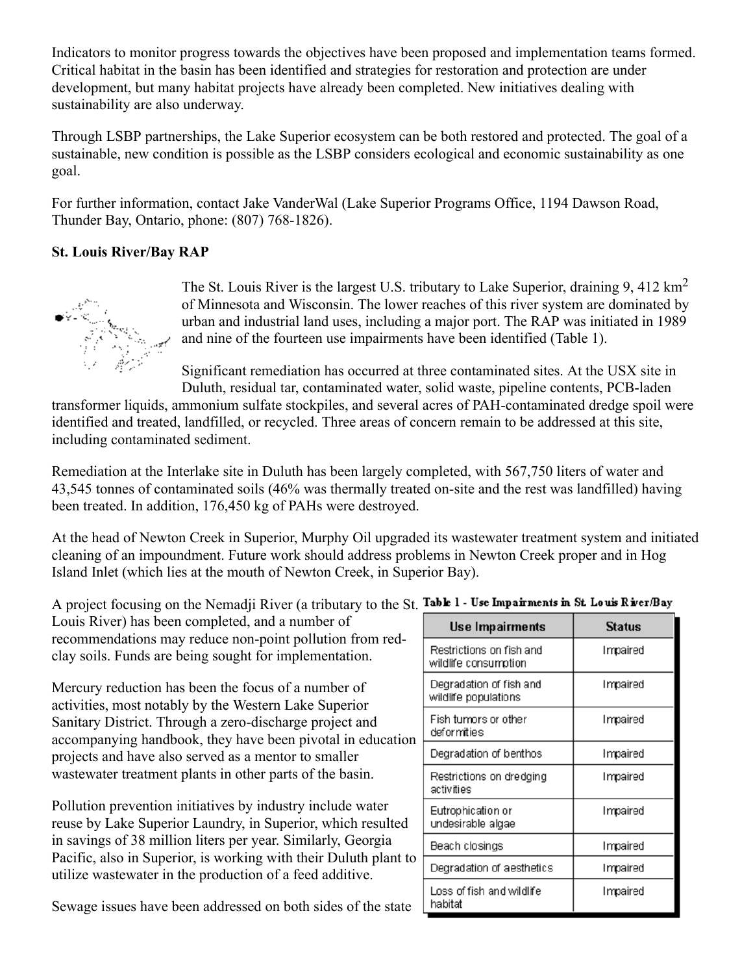Indicators to monitor progress towards the objectives have been proposed and implementation teams formed. Critical habitat in the basin has been identified and strategies for restoration and protection are under development, but many habitat projects have already been completed. New initiatives dealing with sustainability are also underway.

Through LSBP partnerships, the Lake Superior ecosystem can be both restored and protected. The goal of a sustainable, new condition is possible as the LSBP considers ecological and economic sustainability as one goal.

For further information, contact Jake VanderWal (Lake Superior Programs Office, 1194 Dawson Road, Thunder Bay, Ontario, phone: (807) 768-1826).

## **St. Louis River/Bay RAP**



The St. Louis River is the largest U.S. tributary to Lake Superior, draining 9, 412 km<sup>2</sup> of Minnesota and Wisconsin. The lower reaches of this river system are dominated by urban and industrial land uses, including a major port. The RAP was initiated in 1989 and nine of the fourteen use impairments have been identified (Table 1).

Significant remediation has occurred at three contaminated sites. At the USX site in Duluth, residual tar, contaminated water, solid waste, pipeline contents, PCB-laden

transformer liquids, ammonium sulfate stockpiles, and several acres of PAH-contaminated dredge spoil were identified and treated, landfilled, or recycled. Three areas of concern remain to be addressed at this site, including contaminated sediment.

Remediation at the Interlake site in Duluth has been largely completed, with 567,750 liters of water and 43,545 tonnes of contaminated soils (46% was thermally treated on-site and the rest was landfilled) having been treated. In addition, 176,450 kg of PAHs were destroyed.

At the head of Newton Creek in Superior, Murphy Oil upgraded its wastewater treatment system and initiated cleaning of an impoundment. Future work should address problems in Newton Creek proper and in Hog Island Inlet (which lies at the mouth of Newton Creek, in Superior Bay).

A project focusing on the Nemadji River (a tributary to the St. Table 1 - Use Impairments in St. Louis River/Bay

Louis River) has been completed, and a number of recommendations may reduce non-point pollution from redclay soils. Funds are being sought for implementation.

Mercury reduction has been the focus of a number of activities, most notably by the Western Lake Superior Sanitary District. Through a zero-discharge project and accompanying handbook, they have been pivotal in education projects and have also served as a mentor to smaller wastewater treatment plants in other parts of the basin.

Pollution prevention initiatives by industry include water reuse by Lake Superior Laundry, in Superior, which resulted in savings of 38 million liters per year. Similarly, Georgia Pacific, also in Superior, is working with their Duluth plant to utilize wastewater in the production of a feed additive.

Sewage issues have been addressed on both sides of the state

| Use Impairments                                  | <b>Status</b> |
|--------------------------------------------------|---------------|
| Restrictions on fish and<br>wildlife consumption | Impaired      |
| Degradation of fish and<br>wildlife populations  | Impaired      |
| Fish tumors or other<br>deformities              | Impaired      |
| Degradation of benthos                           | Impaired      |
| Restrictions on dredging<br>activities           | Impaired      |
| Eutrophication or<br>undesirable algae           | Impaired      |
| Beach closings                                   | Impaired      |
| Degradation of aesthetics                        | Impaired      |
| Loss of fish and wildlife<br>habitat             | Impaired      |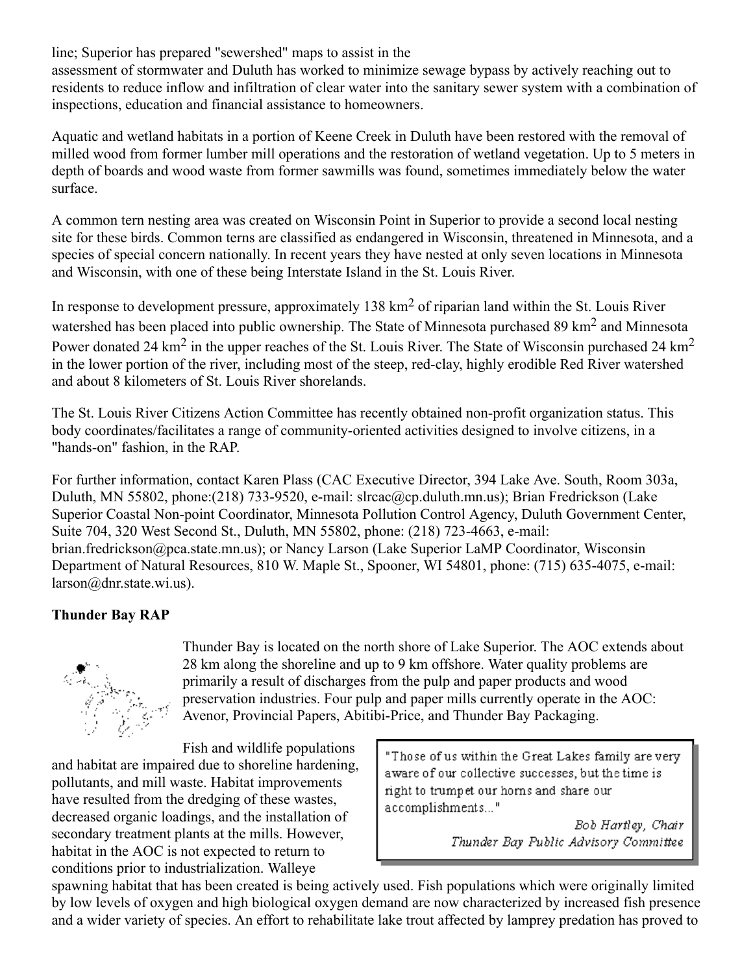line; Superior has prepared "sewershed" maps to assist in the

assessment of stormwater and Duluth has worked to minimize sewage bypass by actively reaching out to residents to reduce inflow and infiltration of clear water into the sanitary sewer system with a combination of inspections, education and financial assistance to homeowners.

Aquatic and wetland habitats in a portion of Keene Creek in Duluth have been restored with the removal of milled wood from former lumber mill operations and the restoration of wetland vegetation. Up to 5 meters in depth of boards and wood waste from former sawmills was found, sometimes immediately below the water surface.

A common tern nesting area was created on Wisconsin Point in Superior to provide a second local nesting site for these birds. Common terns are classified as endangered in Wisconsin, threatened in Minnesota, and a species of special concern nationally. In recent years they have nested at only seven locations in Minnesota and Wisconsin, with one of these being Interstate Island in the St. Louis River.

In response to development pressure, approximately 138 km<sup>2</sup> of riparian land within the St. Louis River watershed has been placed into public ownership. The State of Minnesota purchased 89 km<sup>2</sup> and Minnesota Power donated 24 km<sup>2</sup> in the upper reaches of the St. Louis River. The State of Wisconsin purchased 24 km<sup>2</sup> in the lower portion of the river, including most of the steep, red-clay, highly erodible Red River watershed and about 8 kilometers of St. Louis River shorelands.

The St. Louis River Citizens Action Committee has recently obtained non-profit organization status. This body coordinates/facilitates a range of community-oriented activities designed to involve citizens, in a "hands-on" fashion, in the RAP.

For further information, contact Karen Plass (CAC Executive Director, 394 Lake Ave. South, Room 303a, Duluth, MN 55802, phone:(218) 733-9520, e-mail: slrcac@cp.duluth.mn.us); Brian Fredrickson (Lake Superior Coastal Non-point Coordinator, Minnesota Pollution Control Agency, Duluth Government Center, Suite 704, 320 West Second St., Duluth, MN 55802, phone: (218) 723-4663, e-mail: brian.fredrickson@pca.state.mn.us); or Nancy Larson (Lake Superior LaMP Coordinator, Wisconsin Department of Natural Resources, 810 W. Maple St., Spooner, WI 54801, phone: (715) 635-4075, e-mail: larson@dnr.state.wi.us).

## **Thunder Bay RAP**



Thunder Bay is located on the north shore of Lake Superior. The AOC extends about 28 km along the shoreline and up to 9 km offshore. Water quality problems are primarily a result of discharges from the pulp and paper products and wood preservation industries. Four pulp and paper mills currently operate in the AOC: Avenor, Provincial Papers, Abitibi-Price, and Thunder Bay Packaging.

Fish and wildlife populations and habitat are impaired due to shoreline hardening, pollutants, and mill waste. Habitat improvements have resulted from the dredging of these wastes, decreased organic loadings, and the installation of secondary treatment plants at the mills. However, habitat in the AOC is not expected to return to conditions prior to industrialization. Walleye

"Those of us within the Great Lakes family are very aware of our collective successes, but the time is right to trumpet our horns and share our accomplishments..."

> Bob Hartley, Chair Thunder Bay Public Advisory Committee

spawning habitat that has been created is being actively used. Fish populations which were originally limited by low levels of oxygen and high biological oxygen demand are now characterized by increased fish presence and a wider variety of species. An effort to rehabilitate lake trout affected by lamprey predation has proved to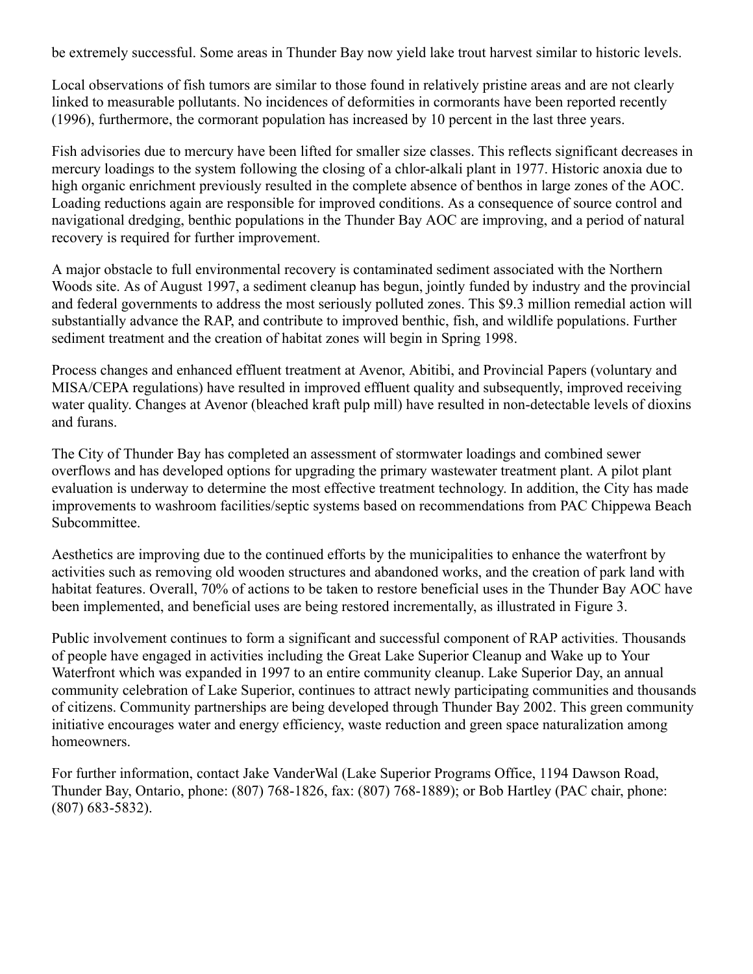be extremely successful. Some areas in Thunder Bay now yield lake trout harvest similar to historic levels.

Local observations of fish tumors are similar to those found in relatively pristine areas and are not clearly linked to measurable pollutants. No incidences of deformities in cormorants have been reported recently (1996), furthermore, the cormorant population has increased by 10 percent in the last three years.

Fish advisories due to mercury have been lifted for smaller size classes. This reflects significant decreases in mercury loadings to the system following the closing of a chlor-alkali plant in 1977. Historic anoxia due to high organic enrichment previously resulted in the complete absence of benthos in large zones of the AOC. Loading reductions again are responsible for improved conditions. As a consequence of source control and navigational dredging, benthic populations in the Thunder Bay AOC are improving, and a period of natural recovery is required for further improvement.

A major obstacle to full environmental recovery is contaminated sediment associated with the Northern Woods site. As of August 1997, a sediment cleanup has begun, jointly funded by industry and the provincial and federal governments to address the most seriously polluted zones. This \$9.3 million remedial action will substantially advance the RAP, and contribute to improved benthic, fish, and wildlife populations. Further sediment treatment and the creation of habitat zones will begin in Spring 1998.

Process changes and enhanced effluent treatment at Avenor, Abitibi, and Provincial Papers (voluntary and MISA/CEPA regulations) have resulted in improved effluent quality and subsequently, improved receiving water quality. Changes at Avenor (bleached kraft pulp mill) have resulted in non-detectable levels of dioxins and furans.

The City of Thunder Bay has completed an assessment of stormwater loadings and combined sewer overflows and has developed options for upgrading the primary wastewater treatment plant. A pilot plant evaluation is underway to determine the most effective treatment technology. In addition, the City has made improvements to washroom facilities/septic systems based on recommendations from PAC Chippewa Beach Subcommittee.

Aesthetics are improving due to the continued efforts by the municipalities to enhance the waterfront by activities such as removing old wooden structures and abandoned works, and the creation of park land with habitat features. Overall, 70% of actions to be taken to restore beneficial uses in the Thunder Bay AOC have been implemented, and beneficial uses are being restored incrementally, as illustrated in Figure 3.

Public involvement continues to form a significant and successful component of RAP activities. Thousands of people have engaged in activities including the Great Lake Superior Cleanup and Wake up to Your Waterfront which was expanded in 1997 to an entire community cleanup. Lake Superior Day, an annual community celebration of Lake Superior, continues to attract newly participating communities and thousands of citizens. Community partnerships are being developed through Thunder Bay 2002. This green community initiative encourages water and energy efficiency, waste reduction and green space naturalization among homeowners.

For further information, contact Jake VanderWal (Lake Superior Programs Office, 1194 Dawson Road, Thunder Bay, Ontario, phone: (807) 768-1826, fax: (807) 768-1889); or Bob Hartley (PAC chair, phone: (807) 683-5832).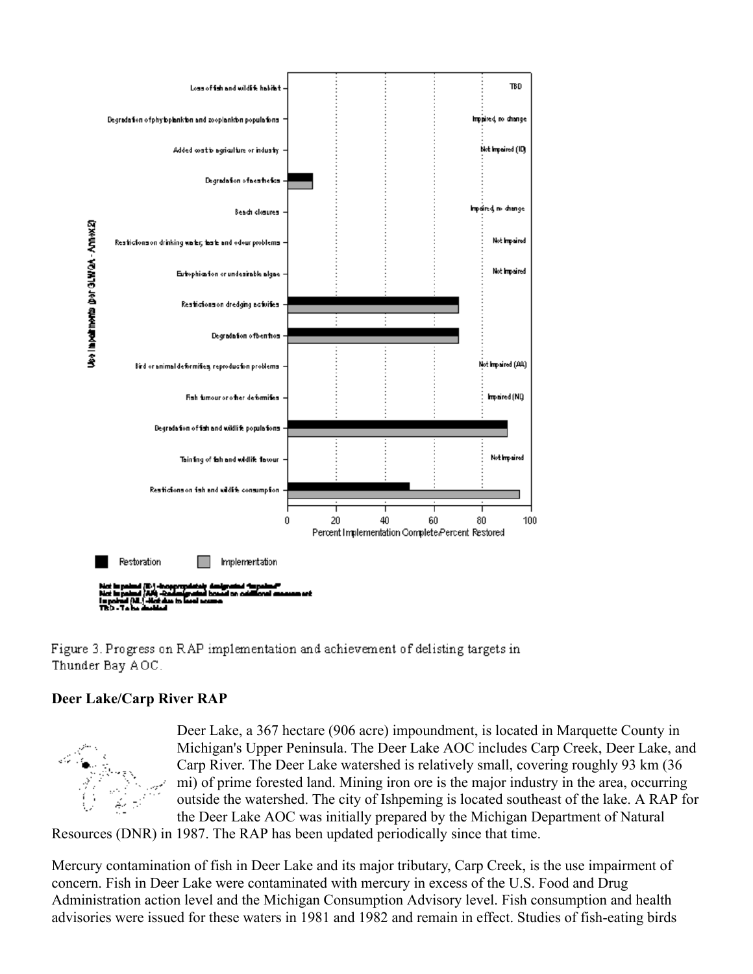

Figure 3. Progress on RAP implementation and achievement of delisting targets in Thunder Bay AOC.

### **Deer Lake/Carp River RAP**



Deer Lake, a 367 hectare (906 acre) impoundment, is located in Marquette County in Michigan's Upper Peninsula. The Deer Lake AOC includes Carp Creek, Deer Lake, and Carp River. The Deer Lake watershed is relatively small, covering roughly 93 km (36 mi) of prime forested land. Mining iron ore is the major industry in the area, occurring outside the watershed. The city of Ishpeming is located southeast of the lake. A RAP for the Deer Lake AOC was initially prepared by the Michigan Department of Natural

Resources (DNR) in 1987. The RAP has been updated periodically since that time.

Mercury contamination of fish in Deer Lake and its major tributary, Carp Creek, is the use impairment of concern. Fish in Deer Lake were contaminated with mercury in excess of the U.S. Food and Drug Administration action level and the Michigan Consumption Advisory level. Fish consumption and health advisories were issued for these waters in 1981 and 1982 and remain in effect. Studies of fish-eating birds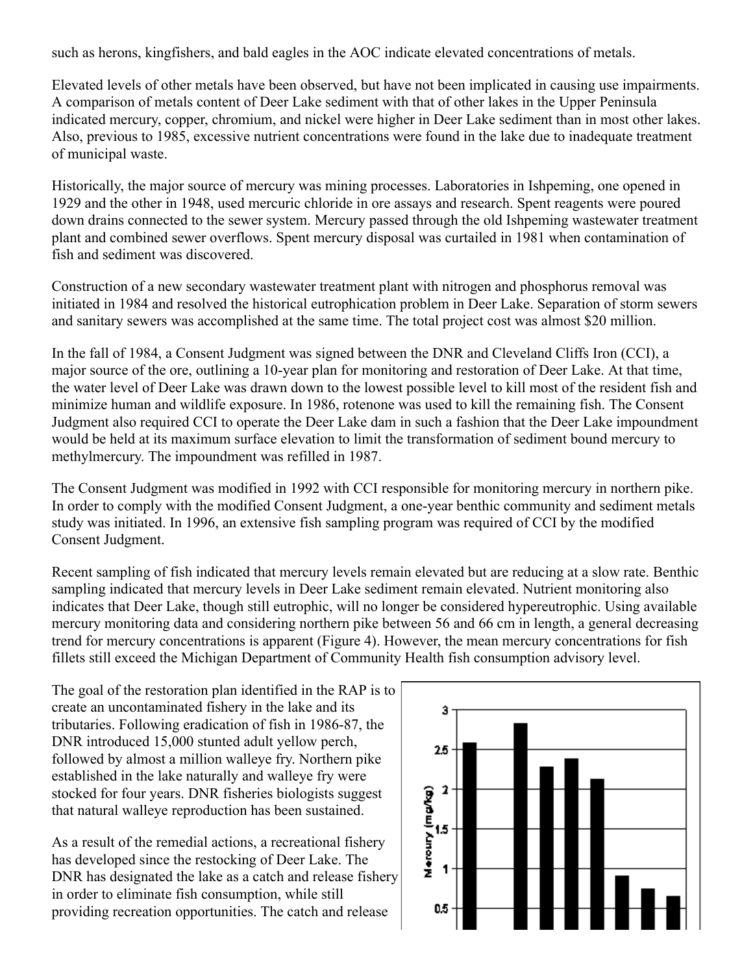such as herons, kingfishers, and bald eagles in the AOC indicate elevated concentrations of metals.

Elevated levels of other metals have been observed, but have not been implicated in causing use impairments. A comparison of metals content of Deer Lake sediment with that of other lakes in the Upper Peninsula indicated mercury, copper, chromium, and nickel were higher in Deer Lake sediment than in most other lakes. Also, previous to 1985, excessive nutrient concentrations were found in the lake due to inadequate treatment of municipal waste.

Historically, the major source of mercury was mining processes. Laboratories in Ishpeming, one opened in 1929 and the other in 1948, used mercuric chloride in ore assays and research. Spent reagents were poured down drains connected to the sewer system. Mercury passed through the old Ishpeming wastewater treatment plant and combined sewer overflows. Spent mercury disposal was curtailed in 1981 when contamination of fish and sediment was discovered.

Construction of a new secondary wastewater treatment plant with nitrogen and phosphorus removal was initiated in 1984 and resolved the historical eutrophication problem in Deer Lake. Separation of storm sewers and sanitary sewers was accomplished at the same time. The total project cost was almost \$20 million.

In the fall of 1984, a Consent Judgment was signed between the DNR and Cleveland Cliffs Iron (CCI), a major source of the ore, outlining a 10-year plan for monitoring and restoration of Deer Lake. At that time, the water level of Deer Lake was drawn down to the lowest possible level to kill most of the resident fish and minimize human and wildlife exposure. In 1986, rotenone was used to kill the remaining fish. The Consent Judgment also required CCI to operate the Deer Lake dam in such a fashion that the Deer Lake impoundment would be held at its maximum surface elevation to limit the transformation of sediment bound mercury to methylmercury. The impoundment was refilled in 1987.

The Consent Judgment was modified in 1992 with CCI responsible for monitoring mercury in northern pike. In order to comply with the modified Consent Judgment, a one-year benthic community and sediment metals study was initiated. In 1996, an extensive fish sampling program was required of CCI by the modified Consent Judgment.

Recent sampling of fish indicated that mercury levels remain elevated but are reducing at a slow rate. Benthic sampling indicated that mercury levels in Deer Lake sediment remain elevated. Nutrient monitoring also indicates that Deer Lake, though still eutrophic, will no longer be considered hypereutrophic. Using available mercury monitoring data and considering northern pike between 56 and 66 cm in length, a general decreasing trend for mercury concentrations is apparent (Figure 4). However, the mean mercury concentrations for fish fillets still exceed the Michigan Department of Community Health fish consumption advisory level.

The goal of the restoration plan identified in the RAP is to create an uncontaminated fishery in the lake and its tributaries. Following eradication of fish in 1986-87, the DNR introduced 15,000 stunted adult yellow perch, followed by almost a million walleye fry. Northern pike established in the lake naturally and walleye fry were stocked for four years. DNR fisheries biologists suggest that natural walleye reproduction has been sustained.

As a result of the remedial actions, a recreational fishery has developed since the restocking of Deer Lake. The DNR has designated the lake as a catch and release fishery in order to eliminate fish consumption, while still providing recreation opportunities. The catch and release

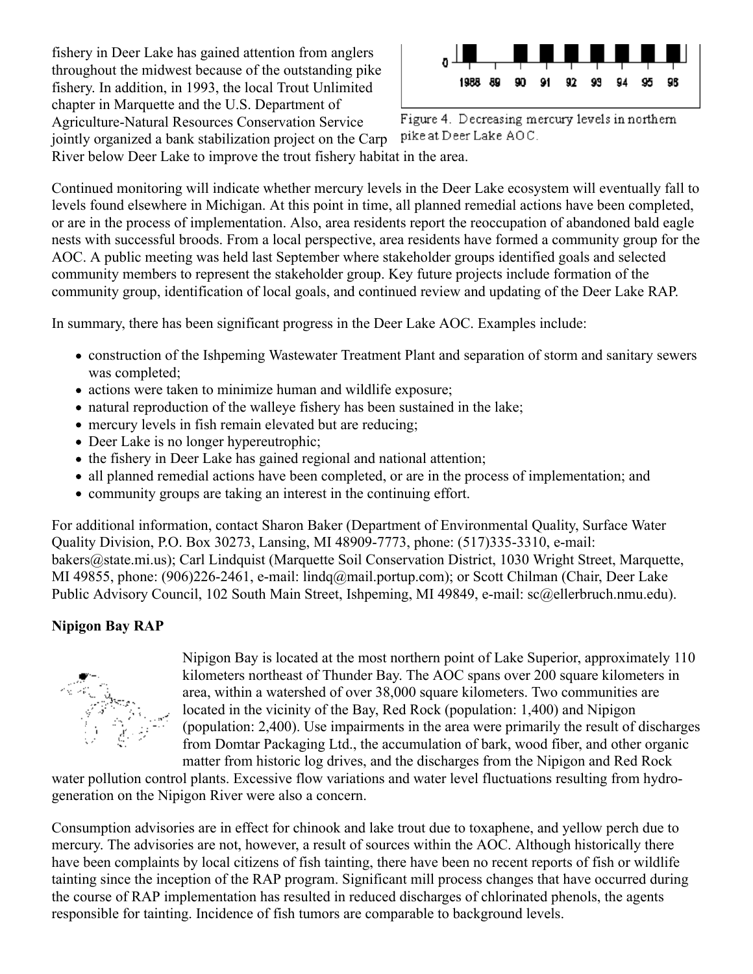fishery in Deer Lake has gained attention from anglers throughout the midwest because of the outstanding pike fishery. In addition, in 1993, the local Trout Unlimited chapter in Marquette and the U.S. Department of Agriculture-Natural Resources Conservation Service jointly organized a bank stabilization project on the Carp



Figure 4. Decreasing mercury levels in northern pike at Deer Lake AOC.

River below Deer Lake to improve the trout fishery habitat in the area.

Continued monitoring will indicate whether mercury levels in the Deer Lake ecosystem will eventually fall to levels found elsewhere in Michigan. At this point in time, all planned remedial actions have been completed, or are in the process of implementation. Also, area residents report the reoccupation of abandoned bald eagle nests with successful broods. From a local perspective, area residents have formed a community group for the AOC. A public meeting was held last September where stakeholder groups identified goals and selected community members to represent the stakeholder group. Key future projects include formation of the community group, identification of local goals, and continued review and updating of the Deer Lake RAP.

In summary, there has been significant progress in the Deer Lake AOC. Examples include:

- construction of the Ishpeming Wastewater Treatment Plant and separation of storm and sanitary sewers was completed;
- actions were taken to minimize human and wildlife exposure;
- natural reproduction of the walleye fishery has been sustained in the lake;
- mercury levels in fish remain elevated but are reducing;
- Deer Lake is no longer hypereutrophic;
- the fishery in Deer Lake has gained regional and national attention;
- all planned remedial actions have been completed, or are in the process of implementation; and
- community groups are taking an interest in the continuing effort.

For additional information, contact Sharon Baker (Department of Environmental Quality, Surface Water Quality Division, P.O. Box 30273, Lansing, MI 48909-7773, phone: (517)335-3310, e-mail: bakers@state.mi.us); Carl Lindquist (Marquette Soil Conservation District, 1030 Wright Street, Marquette, MI 49855, phone: (906)226-2461, e-mail: lindq@mail.portup.com); or Scott Chilman (Chair, Deer Lake Public Advisory Council, 102 South Main Street, Ishpeming, MI 49849, e-mail: sc@ellerbruch.nmu.edu).

### **Nipigon Bay RAP**



Nipigon Bay is located at the most northern point of Lake Superior, approximately 110 kilometers northeast of Thunder Bay. The AOC spans over 200 square kilometers in area, within a watershed of over 38,000 square kilometers. Two communities are located in the vicinity of the Bay, Red Rock (population: 1,400) and Nipigon (population: 2,400). Use impairments in the area were primarily the result of discharges from Domtar Packaging Ltd., the accumulation of bark, wood fiber, and other organic matter from historic log drives, and the discharges from the Nipigon and Red Rock

water pollution control plants. Excessive flow variations and water level fluctuations resulting from hydrogeneration on the Nipigon River were also a concern.

Consumption advisories are in effect for chinook and lake trout due to toxaphene, and yellow perch due to mercury. The advisories are not, however, a result of sources within the AOC. Although historically there have been complaints by local citizens of fish tainting, there have been no recent reports of fish or wildlife tainting since the inception of the RAP program. Significant mill process changes that have occurred during the course of RAP implementation has resulted in reduced discharges of chlorinated phenols, the agents responsible for tainting. Incidence of fish tumors are comparable to background levels.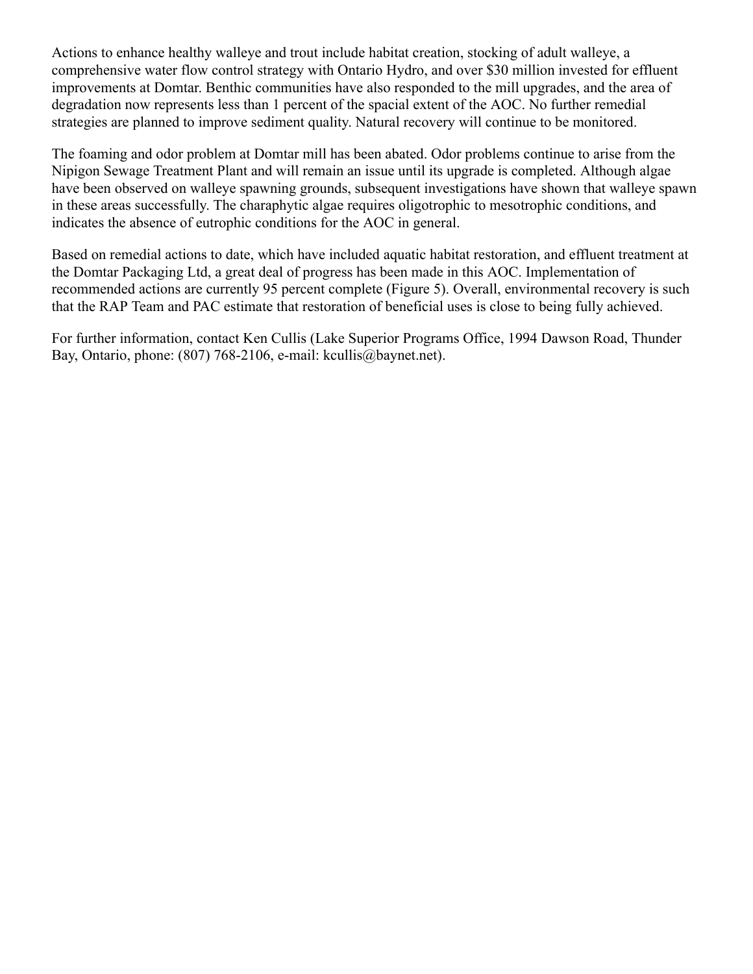Actions to enhance healthy walleye and trout include habitat creation, stocking of adult walleye, a comprehensive water flow control strategy with Ontario Hydro, and over \$30 million invested for effluent improvements at Domtar. Benthic communities have also responded to the mill upgrades, and the area of degradation now represents less than 1 percent of the spacial extent of the AOC. No further remedial strategies are planned to improve sediment quality. Natural recovery will continue to be monitored.

The foaming and odor problem at Domtar mill has been abated. Odor problems continue to arise from the Nipigon Sewage Treatment Plant and will remain an issue until its upgrade is completed. Although algae have been observed on walleye spawning grounds, subsequent investigations have shown that walleye spawn in these areas successfully. The charaphytic algae requires oligotrophic to mesotrophic conditions, and indicates the absence of eutrophic conditions for the AOC in general.

Based on remedial actions to date, which have included aquatic habitat restoration, and effluent treatment at the Domtar Packaging Ltd, a great deal of progress has been made in this AOC. Implementation of recommended actions are currently 95 percent complete (Figure 5). Overall, environmental recovery is such that the RAP Team and PAC estimate that restoration of beneficial uses is close to being fully achieved.

For further information, contact Ken Cullis (Lake Superior Programs Office, 1994 Dawson Road, Thunder Bay, Ontario, phone: (807) 768-2106, e-mail: kcullis@baynet.net).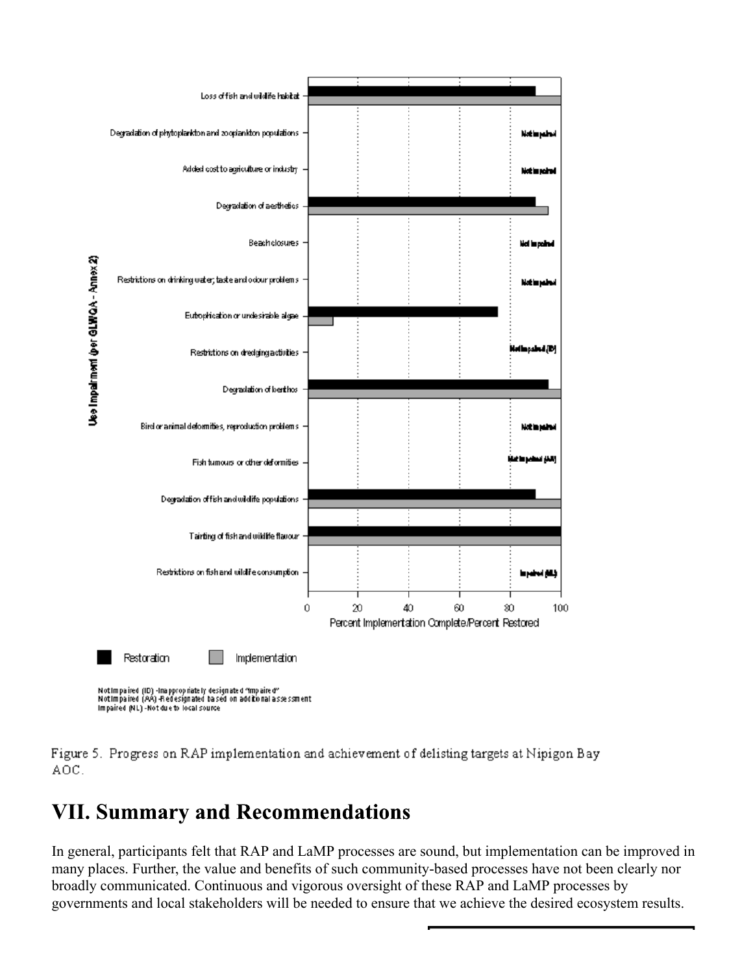

Figure 5. Progress on RAP implementation and achievement of delisting targets at Nipigon Bay AOC.

# **VII. Summary and Recommendations**

In general, participants felt that RAP and LaMP processes are sound, but implementation can be improved in many places. Further, the value and benefits of such community-based processes have not been clearly nor broadly communicated. Continuous and vigorous oversight of these RAP and LaMP processes by governments and local stakeholders will be needed to ensure that we achieve the desired ecosystem results.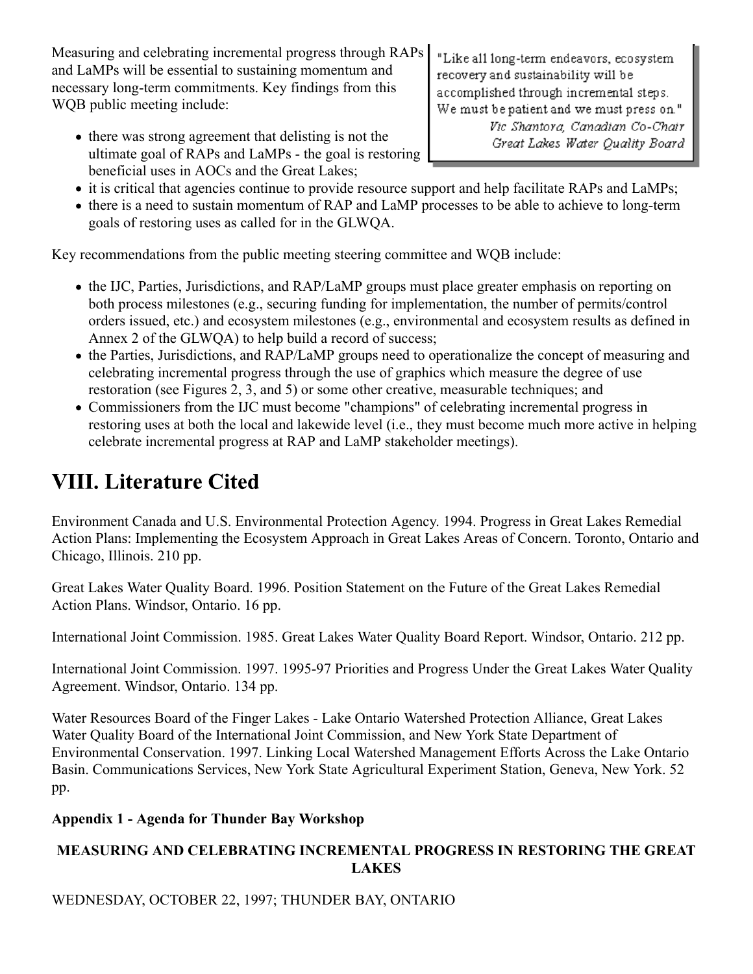Measuring and celebrating incremental progress through RAPs and LaMPs will be essential to sustaining momentum and necessary long-term commitments. Key findings from this WQB public meeting include:

• there was strong agreement that delisting is not the ultimate goal of RAPs and LaMPs - the goal is restoring beneficial uses in AOCs and the Great Lakes;

"Like all long-term endeavors, ecosystem recovery and sustainability will be accomplished through incremental steps. We must be patient and we must press on." Vic Shantora, Canadian Co-Chair Great Lakes Water Quality Board

- it is critical that agencies continue to provide resource support and help facilitate RAPs and LaMPs;
- there is a need to sustain momentum of RAP and LaMP processes to be able to achieve to long-term goals of restoring uses as called for in the GLWQA.

Key recommendations from the public meeting steering committee and WQB include:

- the IJC, Parties, Jurisdictions, and RAP/LaMP groups must place greater emphasis on reporting on both process milestones (e.g., securing funding for implementation, the number of permits/control orders issued, etc.) and ecosystem milestones (e.g., environmental and ecosystem results as defined in Annex 2 of the GLWQA) to help build a record of success;
- the Parties, Jurisdictions, and RAP/LaMP groups need to operationalize the concept of measuring and celebrating incremental progress through the use of graphics which measure the degree of use restoration (see Figures 2, 3, and 5) or some other creative, measurable techniques; and
- Commissioners from the IJC must become "champions" of celebrating incremental progress in restoring uses at both the local and lakewide level (i.e., they must become much more active in helping celebrate incremental progress at RAP and LaMP stakeholder meetings).

# **VIII. Literature Cited**

Environment Canada and U.S. Environmental Protection Agency. 1994. Progress in Great Lakes Remedial Action Plans: Implementing the Ecosystem Approach in Great Lakes Areas of Concern. Toronto, Ontario and Chicago, Illinois. 210 pp.

Great Lakes Water Quality Board. 1996. Position Statement on the Future of the Great Lakes Remedial Action Plans. Windsor, Ontario. 16 pp.

International Joint Commission. 1985. Great Lakes Water Quality Board Report. Windsor, Ontario. 212 pp.

International Joint Commission. 1997. 1995-97 Priorities and Progress Under the Great Lakes Water Quality Agreement. Windsor, Ontario. 134 pp.

Water Resources Board of the Finger Lakes - Lake Ontario Watershed Protection Alliance, Great Lakes Water Quality Board of the International Joint Commission, and New York State Department of Environmental Conservation. 1997. Linking Local Watershed Management Efforts Across the Lake Ontario Basin. Communications Services, New York State Agricultural Experiment Station, Geneva, New York. 52 pp.

## **Appendix 1 - Agenda for Thunder Bay Workshop**

## **MEASURING AND CELEBRATING INCREMENTAL PROGRESS IN RESTORING THE GREAT LAKES**

WEDNESDAY, OCTOBER 22, 1997; THUNDER BAY, ONTARIO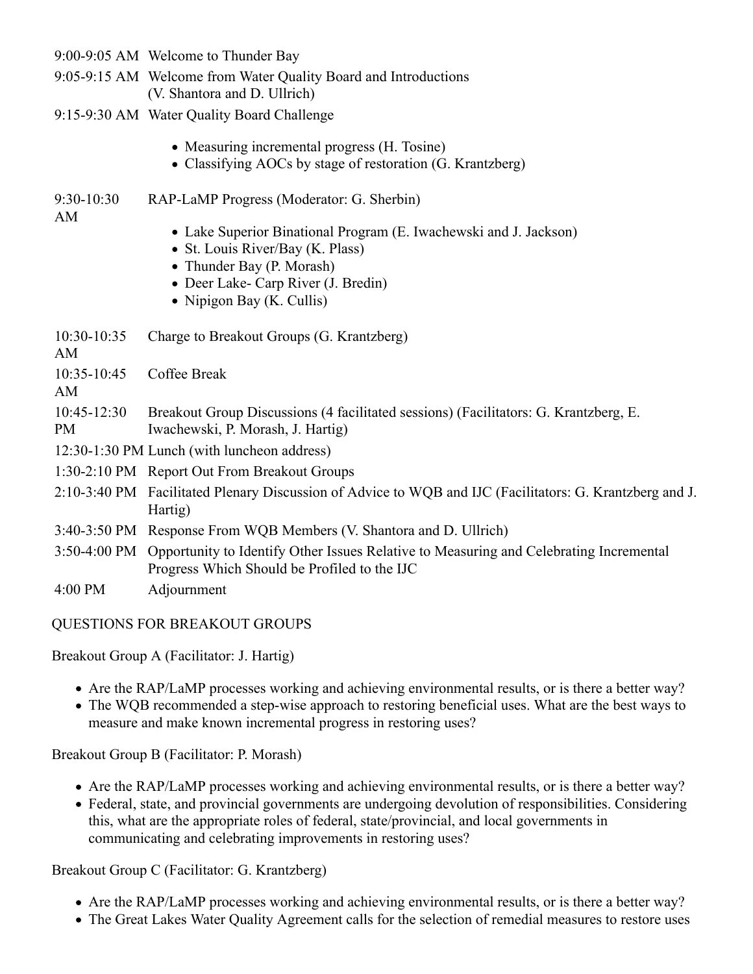|                          | 9:00-9:05 AM Welcome to Thunder Bay                                                                                                                                                                    |
|--------------------------|--------------------------------------------------------------------------------------------------------------------------------------------------------------------------------------------------------|
|                          | 9:05-9:15 AM Welcome from Water Quality Board and Introductions<br>(V. Shantora and D. Ullrich)                                                                                                        |
|                          | 9:15-9:30 AM Water Quality Board Challenge                                                                                                                                                             |
|                          | • Measuring incremental progress (H. Tosine)<br>• Classifying AOCs by stage of restoration (G. Krantzberg)                                                                                             |
| 9:30-10:30               | RAP-LaMP Progress (Moderator: G. Sherbin)                                                                                                                                                              |
| AM                       | • Lake Superior Binational Program (E. Iwachewski and J. Jackson)<br>• St. Louis River/Bay (K. Plass)<br>• Thunder Bay (P. Morash)<br>• Deer Lake- Carp River (J. Bredin)<br>• Nipigon Bay (K. Cullis) |
| 10:30-10:35<br>AM        | Charge to Breakout Groups (G. Krantzberg)                                                                                                                                                              |
| 10:35-10:45<br>AM        | Coffee Break                                                                                                                                                                                           |
| 10:45-12:30<br><b>PM</b> | Breakout Group Discussions (4 facilitated sessions) (Facilitators: G. Krantzberg, E.<br>Iwachewski, P. Morash, J. Hartig)                                                                              |
|                          | 12:30-1:30 PM Lunch (with luncheon address)                                                                                                                                                            |
|                          | 1:30-2:10 PM Report Out From Breakout Groups                                                                                                                                                           |
|                          | 2:10-3:40 PM Facilitated Plenary Discussion of Advice to WQB and IJC (Facilitators: G. Krantzberg and J.<br>Hartig)                                                                                    |
|                          | 3:40-3:50 PM Response From WQB Members (V. Shantora and D. Ullrich)                                                                                                                                    |
|                          | 3:50-4:00 PM Opportunity to Identify Other Issues Relative to Measuring and Celebrating Incremental<br>Progress Which Should be Profiled to the IJC                                                    |
| 4:00 PM                  | Adjournment                                                                                                                                                                                            |

### QUESTIONS FOR BREAKOUT GROUPS

Breakout Group A (Facilitator: J. Hartig)

- Are the RAP/LaMP processes working and achieving environmental results, or is there a better way?
- The WQB recommended a step-wise approach to restoring beneficial uses. What are the best ways to measure and make known incremental progress in restoring uses?

Breakout Group B (Facilitator: P. Morash)

- Are the RAP/LaMP processes working and achieving environmental results, or is there a better way?
- Federal, state, and provincial governments are undergoing devolution of responsibilities. Considering this, what are the appropriate roles of federal, state/provincial, and local governments in communicating and celebrating improvements in restoring uses?

Breakout Group C (Facilitator: G. Krantzberg)

- Are the RAP/LaMP processes working and achieving environmental results, or is there a better way?
- The Great Lakes Water Quality Agreement calls for the selection of remedial measures to restore uses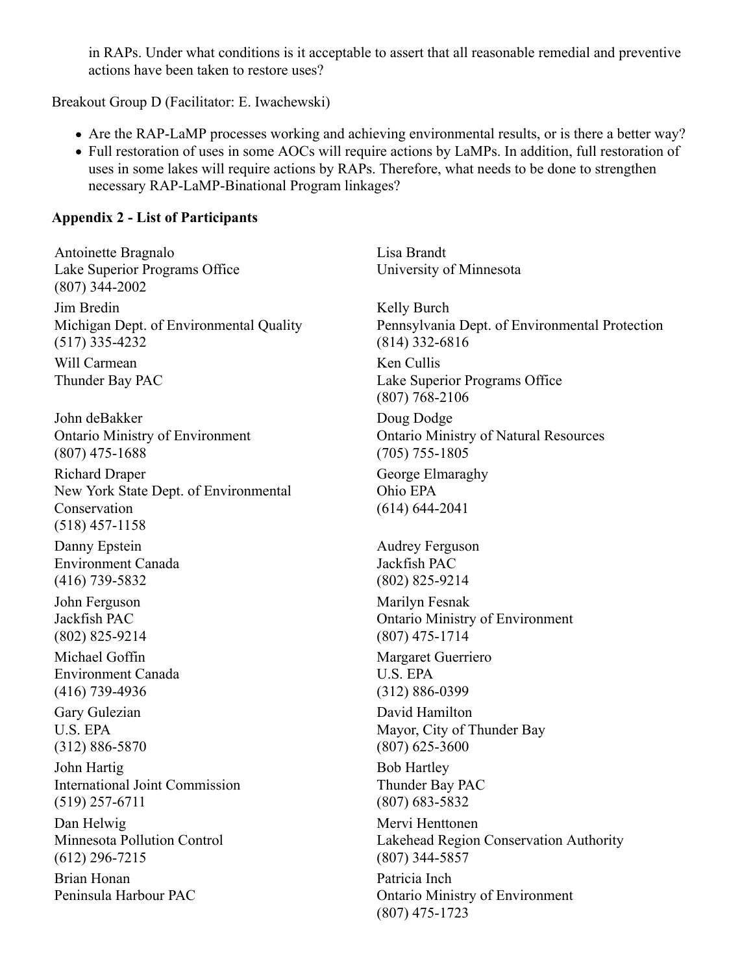in RAPs. Under what conditions is it acceptable to assert that all reasonable remedial and preventive actions have been taken to restore uses?

Breakout Group D (Facilitator: E. Iwachewski)

- Are the RAP-LaMP processes working and achieving environmental results, or is there a better way?
- Full restoration of uses in some AOCs will require actions by LaMPs. In addition, full restoration of uses in some lakes will require actions by RAPs. Therefore, what needs to be done to strengthen necessary RAP-LaMP-Binational Program linkages?

### **Appendix 2 - List of Participants**

Antoinette Bragnalo Lake Superior Programs Office (807) 344-2002 Lisa Brandt University of Minnesota Jim Bredin Michigan Dept. of Environmental Quality (517) 335-4232 Kelly Burch Pennsylvania Dept. of Environmental Protection (814) 332-6816 Will Carmean Thunder Bay PAC Ken Cullis Lake Superior Programs Office (807) 768-2106 John deBakker Ontario Ministry of Environment (807) 475-1688 Doug Dodge Ontario Ministry of Natural Resources (705) 755-1805 Richard Draper New York State Dept. of Environmental Conservation (518) 457-1158 George Elmaraghy Ohio EPA (614) 644-2041 Danny Epstein Environment Canada (416) 739-5832 Audrey Ferguson Jackfish PAC (802) 825-9214 John Ferguson Jackfish PAC (802) 825-9214 Marilyn Fesnak Ontario Ministry of Environment (807) 475-1714 Michael Goffin Environment Canada (416) 739-4936 Margaret Guerriero U.S. EPA (312) 886-0399 Gary Gulezian U.S. EPA (312) 886-5870 David Hamilton Mayor, City of Thunder Bay (807) 625-3600 John Hartig International Joint Commission (519) 257-6711 Bob Hartley Thunder Bay PAC (807) 683-5832 Dan Helwig Minnesota Pollution Control (612) 296-7215 Mervi Henttonen Lakehead Region Conservation Authority (807) 344-5857 Brian Honan Peninsula Harbour PAC Patricia Inch Ontario Ministry of Environment (807) 475-1723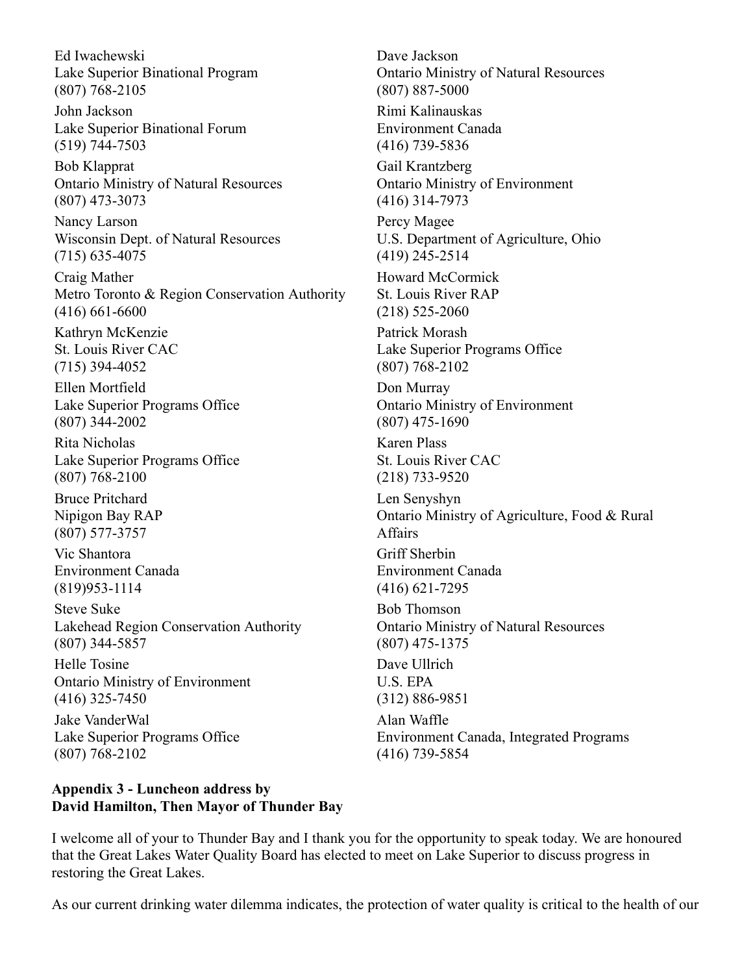Ed Iwachewski Lake Superior Binational Program (807) 768-2105

John Jackson Lake Superior Binational Forum (519) 744-7503

Bob Klapprat Ontario Ministry of Natural Resources (807) 473-3073

Nancy Larson Wisconsin Dept. of Natural Resources (715) 635-4075

Craig Mather Metro Toronto & Region Conservation Authority (416) 661-6600

Kathryn McKenzie St. Louis River CAC (715) 394-4052

Ellen Mortfield Lake Superior Programs Office (807) 344-2002

Rita Nicholas Lake Superior Programs Office (807) 768-2100

Bruce Pritchard Nipigon Bay RAP (807) 577-3757

Vic Shantora Environment Canada (819)953-1114

Steve Suke Lakehead Region Conservation Authority (807) 344-5857

Helle Tosine Ontario Ministry of Environment (416) 325-7450

Jake VanderWal Lake Superior Programs Office (807) 768-2102

#### **Appendix 3 - Luncheon address by David Hamilton, Then Mayor of Thunder Bay**

Dave Jackson Ontario Ministry of Natural Resources (807) 887-5000

Rimi Kalinauskas Environment Canada (416) 739-5836

Gail Krantzberg Ontario Ministry of Environment (416) 314-7973

Percy Magee U.S. Department of Agriculture, Ohio (419) 245-2514

Howard McCormick St. Louis River RAP (218) 525-2060

Patrick Morash Lake Superior Programs Office (807) 768-2102

Don Murray Ontario Ministry of Environment (807) 475-1690

Karen Plass St. Louis River CAC (218) 733-9520

Len Senyshyn Ontario Ministry of Agriculture, Food & Rural Affairs

Griff Sherbin Environment Canada (416) 621-7295

Bob Thomson Ontario Ministry of Natural Resources (807) 475-1375

Dave Ullrich U.S. EPA

(312) 886-9851

Alan Waffle Environment Canada, Integrated Programs (416) 739-5854

I welcome all of your to Thunder Bay and I thank you for the opportunity to speak today. We are honoured that the Great Lakes Water Quality Board has elected to meet on Lake Superior to discuss progress in restoring the Great Lakes.

As our current drinking water dilemma indicates, the protection of water quality is critical to the health of our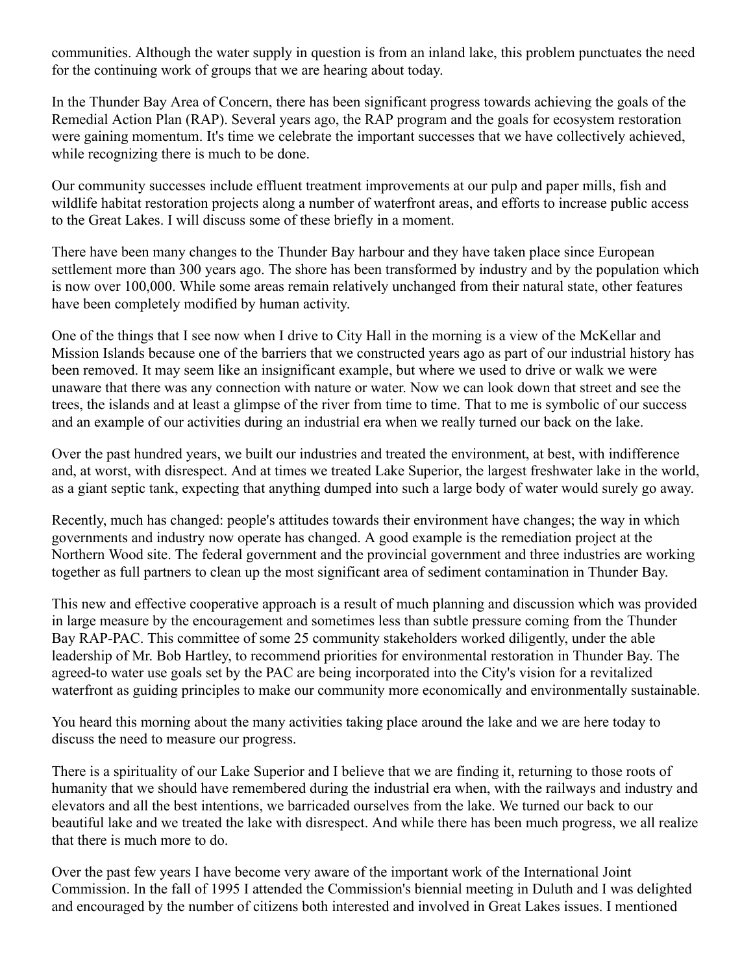communities. Although the water supply in question is from an inland lake, this problem punctuates the need for the continuing work of groups that we are hearing about today.

In the Thunder Bay Area of Concern, there has been significant progress towards achieving the goals of the Remedial Action Plan (RAP). Several years ago, the RAP program and the goals for ecosystem restoration were gaining momentum. It's time we celebrate the important successes that we have collectively achieved, while recognizing there is much to be done.

Our community successes include effluent treatment improvements at our pulp and paper mills, fish and wildlife habitat restoration projects along a number of waterfront areas, and efforts to increase public access to the Great Lakes. I will discuss some of these briefly in a moment.

There have been many changes to the Thunder Bay harbour and they have taken place since European settlement more than 300 years ago. The shore has been transformed by industry and by the population which is now over 100,000. While some areas remain relatively unchanged from their natural state, other features have been completely modified by human activity.

One of the things that I see now when I drive to City Hall in the morning is a view of the McKellar and Mission Islands because one of the barriers that we constructed years ago as part of our industrial history has been removed. It may seem like an insignificant example, but where we used to drive or walk we were unaware that there was any connection with nature or water. Now we can look down that street and see the trees, the islands and at least a glimpse of the river from time to time. That to me is symbolic of our success and an example of our activities during an industrial era when we really turned our back on the lake.

Over the past hundred years, we built our industries and treated the environment, at best, with indifference and, at worst, with disrespect. And at times we treated Lake Superior, the largest freshwater lake in the world, as a giant septic tank, expecting that anything dumped into such a large body of water would surely go away.

Recently, much has changed: people's attitudes towards their environment have changes; the way in which governments and industry now operate has changed. A good example is the remediation project at the Northern Wood site. The federal government and the provincial government and three industries are working together as full partners to clean up the most significant area of sediment contamination in Thunder Bay.

This new and effective cooperative approach is a result of much planning and discussion which was provided in large measure by the encouragement and sometimes less than subtle pressure coming from the Thunder Bay RAP-PAC. This committee of some 25 community stakeholders worked diligently, under the able leadership of Mr. Bob Hartley, to recommend priorities for environmental restoration in Thunder Bay. The agreed-to water use goals set by the PAC are being incorporated into the City's vision for a revitalized waterfront as guiding principles to make our community more economically and environmentally sustainable.

You heard this morning about the many activities taking place around the lake and we are here today to discuss the need to measure our progress.

There is a spirituality of our Lake Superior and I believe that we are finding it, returning to those roots of humanity that we should have remembered during the industrial era when, with the railways and industry and elevators and all the best intentions, we barricaded ourselves from the lake. We turned our back to our beautiful lake and we treated the lake with disrespect. And while there has been much progress, we all realize that there is much more to do.

Over the past few years I have become very aware of the important work of the International Joint Commission. In the fall of 1995 I attended the Commission's biennial meeting in Duluth and I was delighted and encouraged by the number of citizens both interested and involved in Great Lakes issues. I mentioned